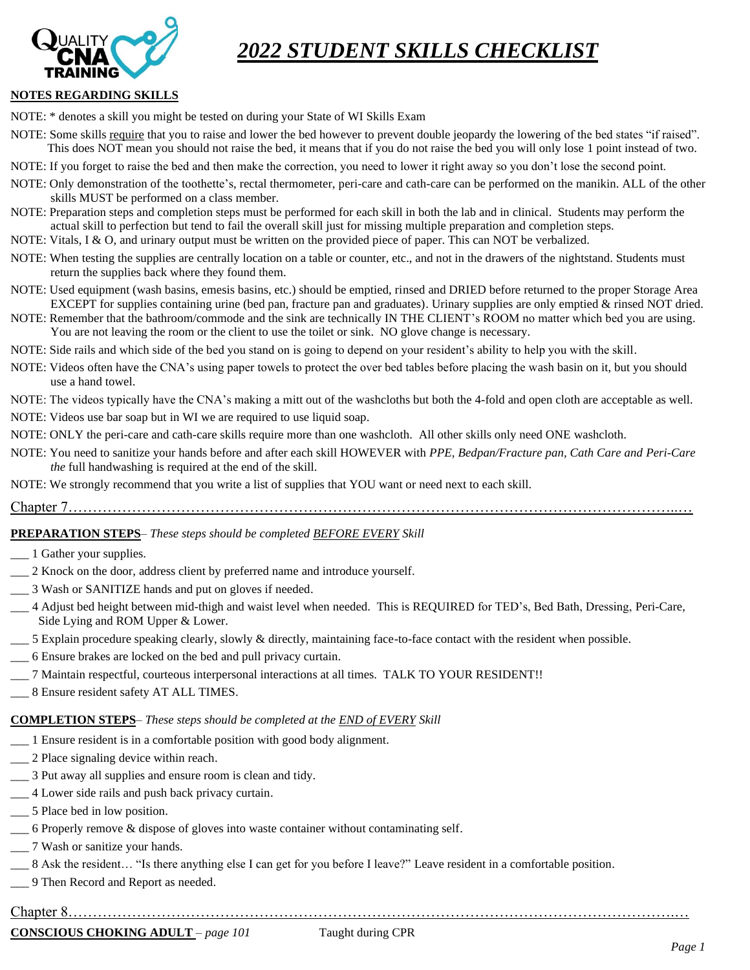### *2022 STUDENT SKILLS CHECKLIST*



#### **NOTES REGARDING SKILLS**

NOTE: \* denotes a skill you might be tested on during your State of WI Skills Exam

- NOTE: Some skills require that you to raise and lower the bed however to prevent double jeopardy the lowering of the bed states "if raised". This does NOT mean you should not raise the bed, it means that if you do not raise the bed you will only lose 1 point instead of two.
- NOTE: If you forget to raise the bed and then make the correction, you need to lower it right away so you don't lose the second point.
- NOTE: Only demonstration of the toothette's, rectal thermometer, peri-care and cath-care can be performed on the manikin. ALL of the other skills MUST be performed on a class member.
- NOTE: Preparation steps and completion steps must be performed for each skill in both the lab and in clinical. Students may perform the actual skill to perfection but tend to fail the overall skill just for missing multiple preparation and completion steps.
- NOTE: Vitals, I & O, and urinary output must be written on the provided piece of paper. This can NOT be verbalized.
- NOTE: When testing the supplies are centrally location on a table or counter, etc., and not in the drawers of the nightstand. Students must return the supplies back where they found them.
- NOTE: Used equipment (wash basins, emesis basins, etc.) should be emptied, rinsed and DRIED before returned to the proper Storage Area EXCEPT for supplies containing urine (bed pan, fracture pan and graduates). Urinary supplies are only emptied & rinsed NOT dried.
- NOTE: Remember that the bathroom/commode and the sink are technically IN THE CLIENT's ROOM no matter which bed you are using. You are not leaving the room or the client to use the toilet or sink. NO glove change is necessary.
- NOTE: Side rails and which side of the bed you stand on is going to depend on your resident's ability to help you with the skill.
- NOTE: Videos often have the CNA's using paper towels to protect the over bed tables before placing the wash basin on it, but you should use a hand towel.
- NOTE: The videos typically have the CNA's making a mitt out of the washcloths but both the 4-fold and open cloth are acceptable as well.
- NOTE: Videos use bar soap but in WI we are required to use liquid soap.
- NOTE: ONLY the peri-care and cath-care skills require more than one washcloth. All other skills only need ONE washcloth.
- NOTE: You need to sanitize your hands before and after each skill HOWEVER with *PPE, Bedpan/Fracture pan, Cath Care and Peri-Care the* full handwashing is required at the end of the skill.
- NOTE: We strongly recommend that you write a list of supplies that YOU want or need next to each skill.
- Chapter 7……………………………………………………………………………………………………………..…

#### **PREPARATION STEPS***– These steps should be completed BEFORE EVERY Skill*

- \_\_\_ 1 Gather your supplies.
- \_\_\_ 2 Knock on the door, address client by preferred name and introduce yourself.
- \_\_\_ 3 Wash or SANITIZE hands and put on gloves if needed.
- \_\_\_ 4 Adjust bed height between mid-thigh and waist level when needed. This is REQUIRED for TED's, Bed Bath, Dressing, Peri-Care, Side Lying and ROM Upper & Lower.
- \_\_\_ 5 Explain procedure speaking clearly, slowly & directly, maintaining face-to-face contact with the resident when possible.
- \_\_\_ 6 Ensure brakes are locked on the bed and pull privacy curtain.
- \_\_\_ 7 Maintain respectful, courteous interpersonal interactions at all times. TALK TO YOUR RESIDENT!!
- \_\_\_ 8 Ensure resident safety AT ALL TIMES.

### **COMPLETION STEPS***– These steps should be completed at the END of EVERY Skill*

- \_\_\_ 1 Ensure resident is in a comfortable position with good body alignment.
- 2 Place signaling device within reach.
- \_\_\_ 3 Put away all supplies and ensure room is clean and tidy.
- \_\_\_ 4 Lower side rails and push back privacy curtain.
- \_\_\_ 5 Place bed in low position.
- \_\_\_ 6 Properly remove & dispose of gloves into waste container without contaminating self.
- \_\_\_ 7 Wash or sanitize your hands.
- \_\_\_ 8 Ask the resident… "Is there anything else I can get for you before I leave?" Leave resident in a comfortable position.
- \_\_\_ 9 Then Record and Report as needed.
- Chapter 8…………………………………………………………………………………………………………….…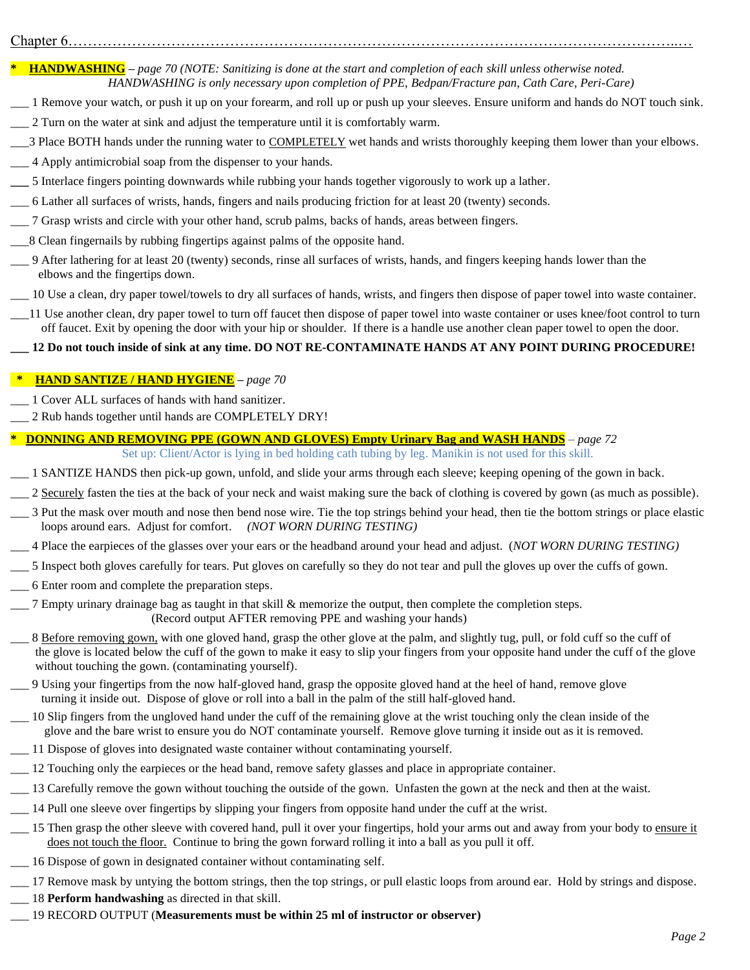# Chapter 6……………………………………………………………………………………………………………..…

**\* HANDWASHING –** *page 70 (NOTE: Sanitizing is done at the start and completion of each skill unless otherwise noted. HANDWASHING is only necessary upon completion of PPE, Bedpan/Fracture pan, Cath Care, Peri-Care)*

- \_\_\_ 1 Remove your watch, or push it up on your forearm, and roll up or push up your sleeves. Ensure uniform and hands do NOT touch sink.
- \_\_\_ 2 Turn on the water at sink and adjust the temperature until it is comfortably warm.
- \_3 Place BOTH hands under the running water to COMPLETELY wet hands and wrists thoroughly keeping them lower than your elbows.
- \_\_\_ 4 Apply antimicrobial soap from the dispenser to your hands.
- **\_\_\_** 5 Interlace fingers pointing downwards while rubbing your hands together vigorously to work up a lather.
- \_\_\_ 6 Lather all surfaces of wrists, hands, fingers and nails producing friction for at least 20 (twenty) seconds.
- \_\_\_ 7 Grasp wrists and circle with your other hand, scrub palms, backs of hands, areas between fingers.
- \_\_\_8 Clean fingernails by rubbing fingertips against palms of the opposite hand.
- \_\_\_ 9 After lathering for at least 20 (twenty) seconds, rinse all surfaces of wrists, hands, and fingers keeping hands lower than the elbows and the fingertips down.
- \_\_\_ 10 Use a clean, dry paper towel/towels to dry all surfaces of hands, wrists, and fingers then dispose of paper towel into waste container.
- \_\_\_11 Use another clean, dry paper towel to turn off faucet then dispose of paper towel into waste container or uses knee/foot control to turn off faucet. Exit by opening the door with your hip or shoulder. If there is a handle use another clean paper towel to open the door.

**\_\_\_ 12 Do not touch inside of sink at any time. DO NOT RE-CONTAMINATE HANDS AT ANY POINT DURING PROCEDURE!**

### **\* HAND SANTIZE / HAND HYGIENE –** *page 70*

- \_\_\_ 1 Cover ALL surfaces of hands with hand sanitizer.
- \_\_\_ 2 Rub hands together until hands are COMPLETELY DRY!

### **\* DONNING AND REMOVING PPE (GOWN AND GLOVES) Empty Urinary Bag and WASH HANDS** *– page 72*

Set up: Client/Actor is lying in bed holding cath tubing by leg. Manikin is not used for this skill.

- \_\_\_ 1 SANTIZE HANDS then pick-up gown, unfold, and slide your arms through each sleeve; keeping opening of the gown in back.
- \_ 2 Securely fasten the ties at the back of your neck and waist making sure the back of clothing is covered by gown (as much as possible).
- \_\_\_ 3 Put the mask over mouth and nose then bend nose wire. Tie the top strings behind your head, then tie the bottom strings or place elastic loops around ears. Adjust for comfort. *(NOT WORN DURING TESTING)*
- \_\_\_ 4 Place the earpieces of the glasses over your ears or the headband around your head and adjust. (*NOT WORN DURING TESTING)*
- \_\_\_ 5 Inspect both gloves carefully for tears. Put gloves on carefully so they do not tear and pull the gloves up over the cuffs of gown.
- \_\_\_ 6 Enter room and complete the preparation steps.
- \_\_\_ 7 Empty urinary drainage bag as taught in that skill & memorize the output, then complete the completion steps. (Record output AFTER removing PPE and washing your hands)
- 8 Before removing gown, with one gloved hand, grasp the other glove at the palm, and slightly tug, pull, or fold cuff so the cuff of the glove is located below the cuff of the gown to make it easy to slip your fingers from your opposite hand under the cuff of the glove without touching the gown. (contaminating yourself).
- \_\_\_ 9 Using your fingertips from the now half-gloved hand, grasp the opposite gloved hand at the heel of hand, remove glove turning it inside out. Dispose of glove or roll into a ball in the palm of the still half-gloved hand.
- \_\_\_ 10 Slip fingers from the ungloved hand under the cuff of the remaining glove at the wrist touching only the clean inside of the glove and the bare wrist to ensure you do NOT contaminate yourself. Remove glove turning it inside out as it is removed.
- \_\_\_ 11 Dispose of gloves into designated waste container without contaminating yourself.
- \_\_\_ 12 Touching only the earpieces or the head band, remove safety glasses and place in appropriate container.
- \_\_\_ 13 Carefully remove the gown without touching the outside of the gown. Unfasten the gown at the neck and then at the waist.
- \_\_\_ 14 Pull one sleeve over fingertips by slipping your fingers from opposite hand under the cuff at the wrist.
- 15 Then grasp the other sleeve with covered hand, pull it over your fingertips, hold your arms out and away from your body to ensure it does not touch the floor. Continue to bring the gown forward rolling it into a ball as you pull it off.
- \_\_\_ 16 Dispose of gown in designated container without contaminating self.
- <sup>17</sup> Remove mask by untying the bottom strings, then the top strings, or pull elastic loops from around ear. Hold by strings and dispose.
- \_\_\_ 18 **Perform handwashing** as directed in that skill.
- \_\_\_ 19 RECORD OUTPUT (**Measurements must be within 25 ml of instructor or observer)**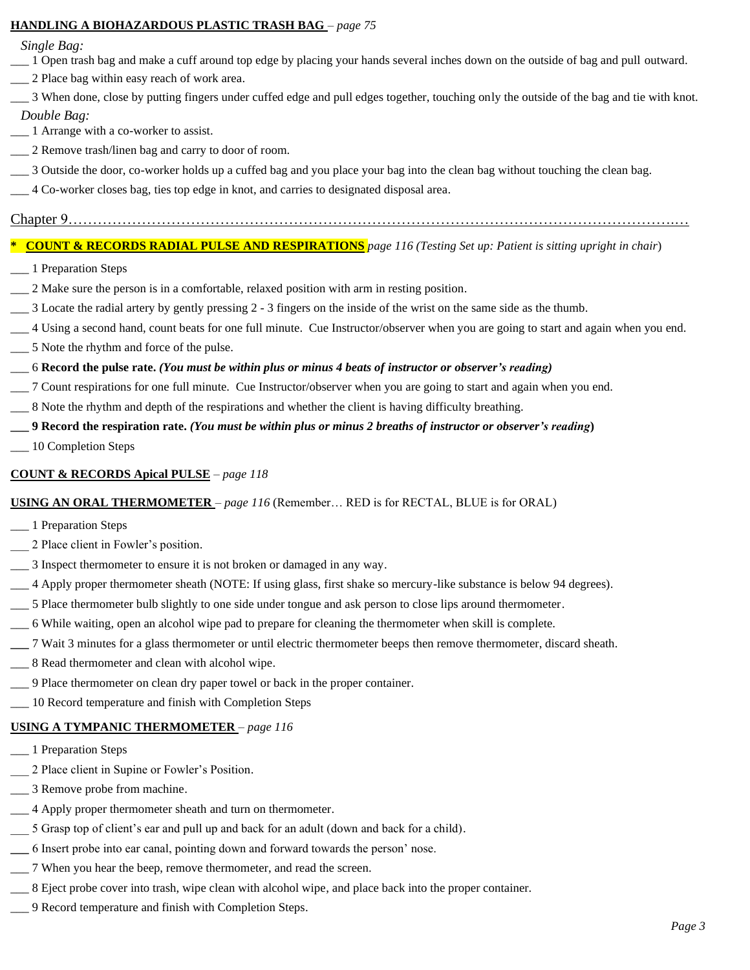#### **HANDLING A BIOHAZARDOUS PLASTIC TRASH BAG** *– page 75*

 *Single Bag:*

- \_\_\_ 1 Open trash bag and make a cuff around top edge by placing your hands several inches down on the outside of bag and pull outward.
- \_\_\_ 2 Place bag within easy reach of work area.
- \_\_\_ 3 When done, close by putting fingers under cuffed edge and pull edges together, touching only the outside of the bag and tie with knot.

#### *Double Bag:*

- \_\_\_ 1 Arrange with a co-worker to assist.
- \_\_\_ 2 Remove trash/linen bag and carry to door of room.
- \_\_\_ 3 Outside the door, co-worker holds up a cuffed bag and you place your bag into the clean bag without touching the clean bag.
- \_\_\_ 4 Co-worker closes bag, ties top edge in knot, and carries to designated disposal area.

#### Chapter 9…………………………………………………………………………………………………………….…

# **\* COUNT & RECORDS RADIAL PULSE AND RESPIRATIONS** *page 116 (Testing Set up: Patient is sitting upright in chair*)

- \_\_\_ 1 Preparation Steps
- \_\_\_ 2 Make sure the person is in a comfortable, relaxed position with arm in resting position.
- $\_\_\_\$ 3 Locate the radial artery by gently pressing 2 3 fingers on the inside of the wrist on the same side as the thumb.
- \_\_\_ 4 Using a second hand, count beats for one full minute. Cue Instructor/observer when you are going to start and again when you end.
- \_\_\_ 5 Note the rhythm and force of the pulse.

### \_\_\_ 6 **Record the pulse rate.** *(You must be within plus or minus 4 beats of instructor or observer's reading)*

- \_\_\_ 7 Count respirations for one full minute. Cue Instructor/observer when you are going to start and again when you end.
- \_\_\_ 8 Note the rhythm and depth of the respirations and whether the client is having difficulty breathing.
- **\_\_\_ 9 Record the respiration rate.** *(You must be within plus or minus 2 breaths of instructor or observer's reading***)**
- \_\_\_ 10 Completion Steps

### **COUNT & RECORDS Apical PULSE** *– page 118*

### **USING AN ORAL THERMOMETER** *– page 116* (Remember… RED is for RECTAL, BLUE is for ORAL)

- \_\_\_ 1 Preparation Steps
- \_\_\_ 2 Place client in Fowler's position.
- \_\_\_ 3 Inspect thermometer to ensure it is not broken or damaged in any way.
- \_\_\_ 4 Apply proper thermometer sheath (NOTE: If using glass, first shake so mercury-like substance is below 94 degrees).
- \_\_\_ 5 Place thermometer bulb slightly to one side under tongue and ask person to close lips around thermometer.
- \_\_\_ 6 While waiting, open an alcohol wipe pad to prepare for cleaning the thermometer when skill is complete.
	- **\_\_\_** 7 Wait 3 minutes for a glass thermometer or until electric thermometer beeps then remove thermometer, discard sheath.
- \_\_\_ 8 Read thermometer and clean with alcohol wipe.
- \_\_\_ 9 Place thermometer on clean dry paper towel or back in the proper container.
- \_\_\_ 10 Record temperature and finish with Completion Steps

### **USING A TYMPANIC THERMOMETER** *– page 116*

- \_\_\_ 1 Preparation Steps
- 2 Place client in Supine or Fowler's Position.
- \_\_\_ 3 Remove probe from machine.
- \_\_\_ 4 Apply proper thermometer sheath and turn on thermometer.
- 5 Grasp top of client's ear and pull up and back for an adult (down and back for a child).
- **\_\_\_** 6 Insert probe into ear canal, pointing down and forward towards the person' nose.
- \_\_\_ 7 When you hear the beep, remove thermometer, and read the screen.
- \_\_\_ 8 Eject probe cover into trash, wipe clean with alcohol wipe, and place back into the proper container.
- \_\_\_ 9 Record temperature and finish with Completion Steps.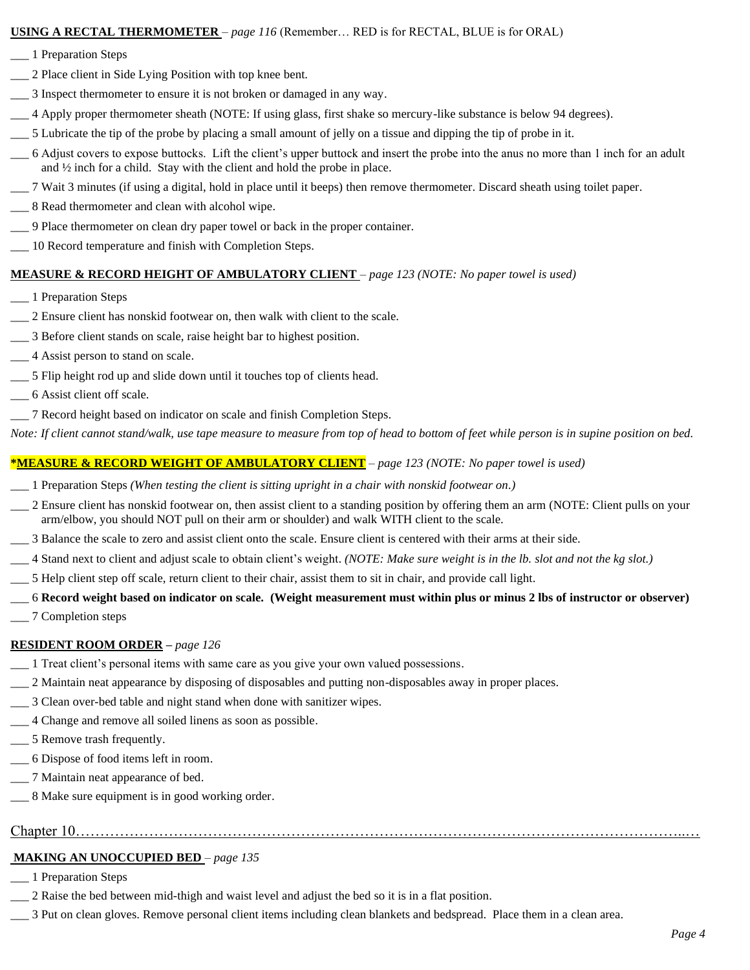#### **USING A RECTAL THERMOMETER** *– page 116* (Remember… RED is for RECTAL, BLUE is for ORAL)

- \_\_\_ 1 Preparation Steps
- \_\_\_ 2 Place client in Side Lying Position with top knee bent.
- \_\_\_ 3 Inspect thermometer to ensure it is not broken or damaged in any way.
- \_\_\_ 4 Apply proper thermometer sheath (NOTE: If using glass, first shake so mercury-like substance is below 94 degrees).
- \_\_\_ 5 Lubricate the tip of the probe by placing a small amount of jelly on a tissue and dipping the tip of probe in it.
- \_\_\_ 6 Adjust covers to expose buttocks. Lift the client's upper buttock and insert the probe into the anus no more than 1 inch for an adult and ½ inch for a child. Stay with the client and hold the probe in place.
- \_\_\_ 7 Wait 3 minutes (if using a digital, hold in place until it beeps) then remove thermometer. Discard sheath using toilet paper.
- \_\_\_ 8 Read thermometer and clean with alcohol wipe.
- \_\_\_ 9 Place thermometer on clean dry paper towel or back in the proper container.
- \_\_\_ 10 Record temperature and finish with Completion Steps.

#### **MEASURE & RECORD HEIGHT OF AMBULATORY CLIENT** *– page 123 (NOTE: No paper towel is used)*

- \_\_\_ 1 Preparation Steps
- \_\_\_ 2 Ensure client has nonskid footwear on, then walk with client to the scale.
- \_\_\_ 3 Before client stands on scale, raise height bar to highest position.
- \_\_\_ 4 Assist person to stand on scale.
- \_\_\_ 5 Flip height rod up and slide down until it touches top of clients head.
- \_\_\_ 6 Assist client off scale.
- \_\_\_ 7 Record height based on indicator on scale and finish Completion Steps.

*Note: If client cannot stand/walk, use tape measure to measure from top of head to bottom of feet while person is in supine position on bed.*

#### **\*MEASURE & RECORD WEIGHT OF AMBULATORY CLIENT** *– page 123 (NOTE: No paper towel is used)*

- \_\_\_ 1 Preparation Steps *(When testing the client is sitting upright in a chair with nonskid footwear on.)*
- \_\_\_ 2 Ensure client has nonskid footwear on, then assist client to a standing position by offering them an arm (NOTE: Client pulls on your arm/elbow, you should NOT pull on their arm or shoulder) and walk WITH client to the scale.
- \_\_\_ 3 Balance the scale to zero and assist client onto the scale. Ensure client is centered with their arms at their side.
- \_\_\_ 4 Stand next to client and adjust scale to obtain client's weight. *(NOTE: Make sure weight is in the lb. slot and not the kg slot.)*
- \_\_\_ 5 Help client step off scale, return client to their chair, assist them to sit in chair, and provide call light.

# \_\_\_ 6 **Record weight based on indicator on scale. (Weight measurement must within plus or minus 2 lbs of instructor or observer)**

\_\_\_ 7 Completion steps

#### **RESIDENT ROOM ORDER –** *page 126*

- \_\_\_ 1 Treat client's personal items with same care as you give your own valued possessions.
- \_\_\_ 2 Maintain neat appearance by disposing of disposables and putting non-disposables away in proper places.
- \_\_\_ 3 Clean over-bed table and night stand when done with sanitizer wipes.
- \_\_\_ 4 Change and remove all soiled linens as soon as possible.
- $\_\_$  5 Remove trash frequently.
- \_\_\_ 6 Dispose of food items left in room.
- \_\_\_ 7 Maintain neat appearance of bed.
- \_\_\_ 8 Make sure equipment is in good working order.

### Chapter 10……………………………………………………………………………………………………………..…

#### **MAKING AN UNOCCUPIED BED** *– page 135*

- \_\_\_ 1 Preparation Steps
- \_\_\_ 2 Raise the bed between mid-thigh and waist level and adjust the bed so it is in a flat position.
- \_\_\_ 3 Put on clean gloves. Remove personal client items including clean blankets and bedspread. Place them in a clean area.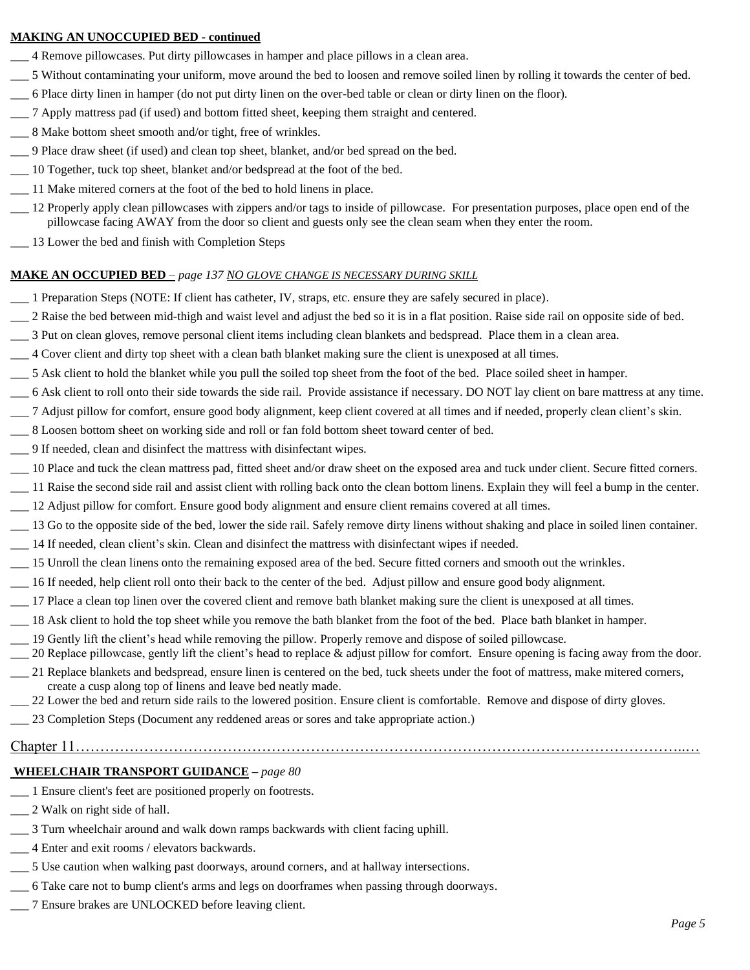#### **MAKING AN UNOCCUPIED BED - continued**

- \_\_\_ 4 Remove pillowcases. Put dirty pillowcases in hamper and place pillows in a clean area.
- \_\_\_ 5 Without contaminating your uniform, move around the bed to loosen and remove soiled linen by rolling it towards the center of bed.
- \_\_\_ 6 Place dirty linen in hamper (do not put dirty linen on the over-bed table or clean or dirty linen on the floor).
- \_\_\_ 7 Apply mattress pad (if used) and bottom fitted sheet, keeping them straight and centered.
- 8 Make bottom sheet smooth and/or tight, free of wrinkles.
- \_\_\_ 9 Place draw sheet (if used) and clean top sheet, blanket, and/or bed spread on the bed.
- \_\_\_ 10 Together, tuck top sheet, blanket and/or bedspread at the foot of the bed.
- \_\_\_ 11 Make mitered corners at the foot of the bed to hold linens in place.
- \_\_\_ 12 Properly apply clean pillowcases with zippers and/or tags to inside of pillowcase. For presentation purposes, place open end of the pillowcase facing AWAY from the door so client and guests only see the clean seam when they enter the room.
- \_\_\_ 13 Lower the bed and finish with Completion Steps

#### **MAKE AN OCCUPIED BED** *– page 137 NO GLOVE CHANGE IS NECESSARY DURING SKILL*

- \_\_\_ 1 Preparation Steps (NOTE: If client has catheter, IV, straps, etc. ensure they are safely secured in place).
- \_\_\_ 2 Raise the bed between mid-thigh and waist level and adjust the bed so it is in a flat position. Raise side rail on opposite side of bed.
- \_\_\_ 3 Put on clean gloves, remove personal client items including clean blankets and bedspread. Place them in a clean area.
- \_\_\_ 4 Cover client and dirty top sheet with a clean bath blanket making sure the client is unexposed at all times.
- \_\_\_ 5 Ask client to hold the blanket while you pull the soiled top sheet from the foot of the bed. Place soiled sheet in hamper.
- \_\_\_ 6 Ask client to roll onto their side towards the side rail. Provide assistance if necessary. DO NOT lay client on bare mattress at any time.
- \_\_\_ 7 Adjust pillow for comfort, ensure good body alignment, keep client covered at all times and if needed, properly clean client's skin.
- \_\_\_ 8 Loosen bottom sheet on working side and roll or fan fold bottom sheet toward center of bed.
- \_\_\_ 9 If needed, clean and disinfect the mattress with disinfectant wipes.
- \_\_\_ 10 Place and tuck the clean mattress pad, fitted sheet and/or draw sheet on the exposed area and tuck under client. Secure fitted corners.
- \_\_\_ 11 Raise the second side rail and assist client with rolling back onto the clean bottom linens. Explain they will feel a bump in the center.
- \_\_\_ 12 Adjust pillow for comfort. Ensure good body alignment and ensure client remains covered at all times.
- \_\_\_ 13 Go to the opposite side of the bed, lower the side rail. Safely remove dirty linens without shaking and place in soiled linen container.
- \_\_\_ 14 If needed, clean client's skin. Clean and disinfect the mattress with disinfectant wipes if needed.
- \_\_\_ 15 Unroll the clean linens onto the remaining exposed area of the bed. Secure fitted corners and smooth out the wrinkles.
- \_\_\_ 16 If needed, help client roll onto their back to the center of the bed. Adjust pillow and ensure good body alignment.
- \_\_\_ 17 Place a clean top linen over the covered client and remove bath blanket making sure the client is unexposed at all times.
- \_\_\_ 18 Ask client to hold the top sheet while you remove the bath blanket from the foot of the bed. Place bath blanket in hamper.
- \_\_\_ 19 Gently lift the client's head while removing the pillow. Properly remove and dispose of soiled pillowcase.
- 20 Replace pillowcase, gently lift the client's head to replace & adjust pillow for comfort. Ensure opening is facing away from the door.
- \_\_\_ 21 Replace blankets and bedspread, ensure linen is centered on the bed, tuck sheets under the foot of mattress, make mitered corners, create a cusp along top of linens and leave bed neatly made.
- \_\_\_ 22 Lower the bed and return side rails to the lowered position. Ensure client is comfortable. Remove and dispose of dirty gloves.
- \_\_\_ 23 Completion Steps (Document any reddened areas or sores and take appropriate action.)
- Chapter 11……………………………………………………………………………………………………………..…

### **WHEELCHAIR TRANSPORT GUIDANCE –** *page 80*

- \_\_\_ 1 Ensure client's feet are positioned properly on footrests.
- \_\_\_ 2 Walk on right side of hall.
- \_\_\_ 3 Turn wheelchair around and walk down ramps backwards with client facing uphill.
- \_\_\_ 4 Enter and exit rooms / elevators backwards.
- \_\_\_ 5 Use caution when walking past doorways, around corners, and at hallway intersections.
- \_\_\_ 6 Take care not to bump client's arms and legs on doorframes when passing through doorways.
- \_\_\_ 7 Ensure brakes are UNLOCKED before leaving client.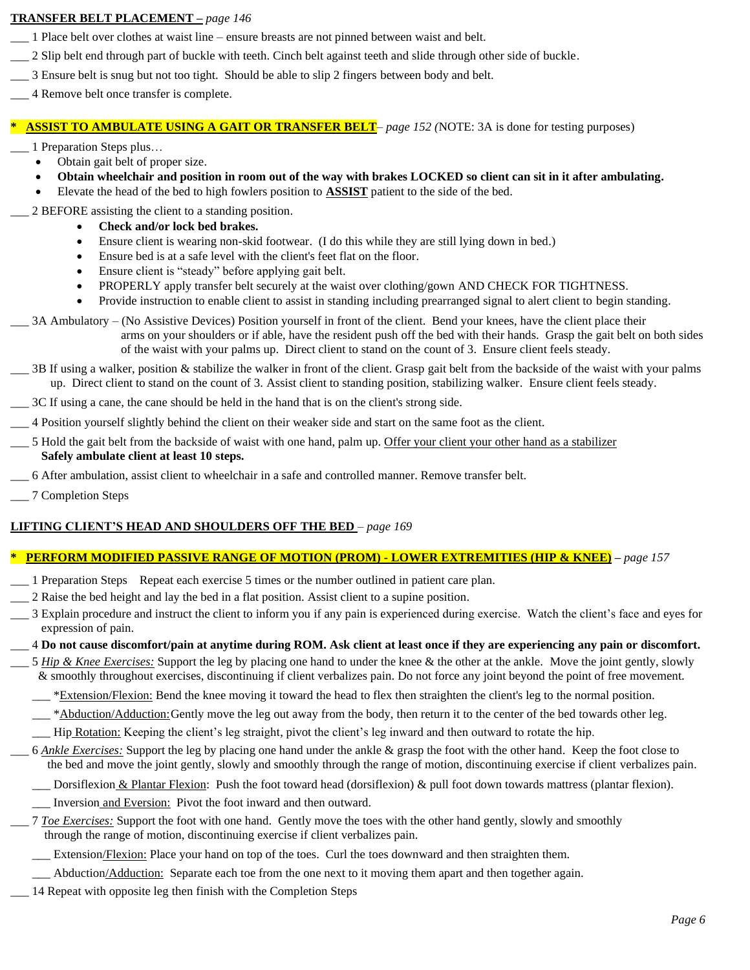#### **TRANSFER BELT PLACEMENT –** *page 146*

- \_\_\_ 1 Place belt over clothes at waist line ensure breasts are not pinned between waist and belt.
- \_\_\_ 2 Slip belt end through part of buckle with teeth. Cinch belt against teeth and slide through other side of buckle.
- \_\_\_ 3 Ensure belt is snug but not too tight. Should be able to slip 2 fingers between body and belt.
- \_\_\_ 4 Remove belt once transfer is complete.

#### **\* ASSIST TO AMBULATE USING A GAIT OR TRANSFER BELT***– page 152 (*NOTE: 3A is done for testing purposes)

- \_\_\_ 1 Preparation Steps plus…
	- Obtain gait belt of proper size.
	- **Obtain wheelchair and position in room out of the way with brakes LOCKED so client can sit in it after ambulating.**
	- Elevate the head of the bed to high fowlers position to **ASSIST** patient to the side of the bed.
- \_\_\_ 2 BEFORE assisting the client to a standing position.
	- **Check and/or lock bed brakes.**
	- Ensure client is wearing non-skid footwear. (I do this while they are still lying down in bed.)
	- Ensure bed is at a safe level with the client's feet flat on the floor.
	- Ensure client is "steady" before applying gait belt.
	- PROPERLY apply transfer belt securely at the waist over clothing/gown AND CHECK FOR TIGHTNESS.
	- Provide instruction to enable client to assist in standing including prearranged signal to alert client to begin standing.
- \_\_\_ 3A Ambulatory (No Assistive Devices) Position yourself in front of the client. Bend your knees, have the client place their arms on your shoulders or if able, have the resident push off the bed with their hands. Grasp the gait belt on both sides of the waist with your palms up. Direct client to stand on the count of 3. Ensure client feels steady.
- $\_\_$  3B If using a walker, position & stabilize the walker in front of the client. Grasp gait belt from the backside of the waist with your palms up. Direct client to stand on the count of 3. Assist client to standing position, stabilizing walker. Ensure client feels steady.
- \_\_\_ 3C If using a cane, the cane should be held in the hand that is on the client's strong side.
- \_\_\_ 4 Position yourself slightly behind the client on their weaker side and start on the same foot as the client.
- \_\_\_ 5 Hold the gait belt from the backside of waist with one hand, palm up. Offer your client your other hand as a stabilizer **Safely ambulate client at least 10 steps.**
- \_\_\_ 6 After ambulation, assist client to wheelchair in a safe and controlled manner. Remove transfer belt.
- \_\_\_ 7 Completion Steps

### **LIFTING CLIENT'S HEAD AND SHOULDERS OFF THE BED** *– page 169*

### **\* PERFORM MODIFIED PASSIVE RANGE OF MOTION (PROM) - LOWER EXTREMITIES (HIP & KNEE) –** *page 157*

- \_\_\_ 1 Preparation Steps Repeat each exercise 5 times or the number outlined in patient care plan.
- \_\_\_ 2 Raise the bed height and lay the bed in a flat position. Assist client to a supine position.
- \_\_\_ 3 Explain procedure and instruct the client to inform you if any pain is experienced during exercise. Watch the client's face and eyes for expression of pain.

### \_\_\_ 4 **Do not cause discomfort/pain at anytime during ROM. Ask client at least once if they are experiencing any pain or discomfort.**

- \_\_\_ 5 *Hip & Knee Exercises:* Support the leg by placing one hand to under the knee & the other at the ankle. Move the joint gently, slowly & smoothly throughout exercises, discontinuing if client verbalizes pain. Do not force any joint beyond the point of free movement.
	- **Extension/Flexion:** Bend the knee moving it toward the head to flex then straighten the client's leg to the normal position.
	- \_\*Abduction/Adduction:Gently move the leg out away from the body, then return it to the center of the bed towards other leg.
	- \_\_\_ Hip Rotation: Keeping the client's leg straight, pivot the client's leg inward and then outward to rotate the hip.
- \_\_\_ 6 *Ankle Exercises:* Support the leg by placing one hand under the ankle & grasp the foot with the other hand. Keep the foot close to the bed and move the joint gently, slowly and smoothly through the range of motion, discontinuing exercise if client verbalizes pain.
	- $\Box$  Dorsiflexion & Plantar Flexion: Push the foot toward head (dorsiflexion) & pull foot down towards mattress (plantar flexion).
	- \_\_\_ Inversion and Eversion: Pivot the foot inward and then outward.
- \_\_\_ 7 *Toe Exercises:* Support the foot with one hand. Gently move the toes with the other hand gently, slowly and smoothly through the range of motion, discontinuing exercise if client verbalizes pain.
- **Extension/Flexion:** Place your hand on top of the toes. Curl the toes downward and then straighten them.
- \_\_\_ Abduction/Adduction: Separate each toe from the one next to it moving them apart and then together again.
- 14 Repeat with opposite leg then finish with the Completion Steps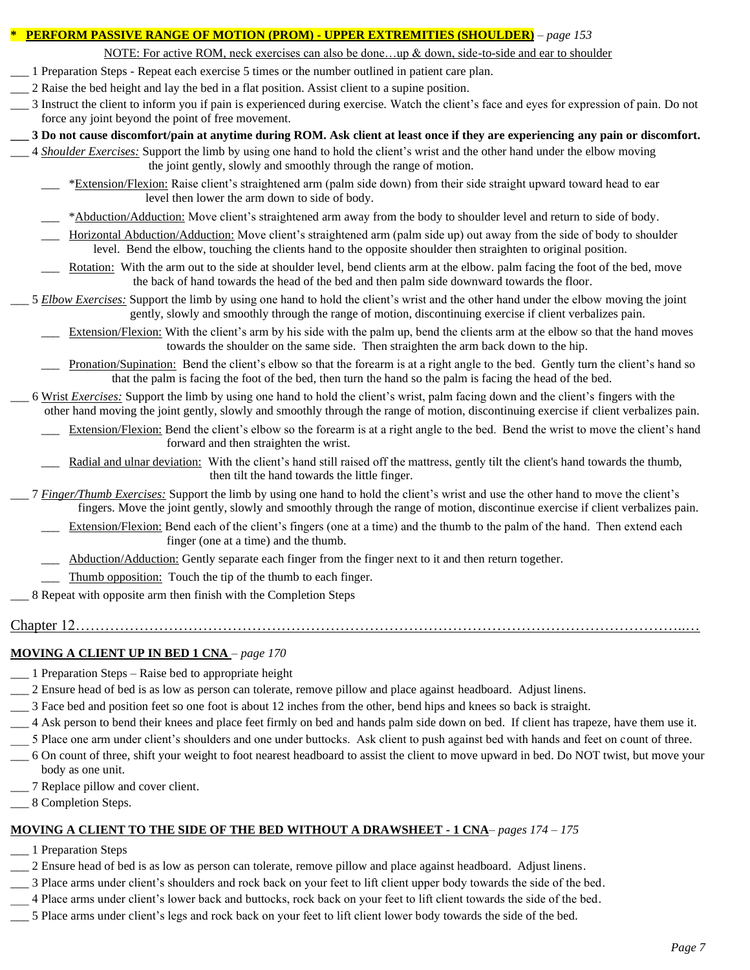#### **\* PERFORM PASSIVE RANGE OF MOTION (PROM) - UPPER EXTREMITIES (SHOULDER)** *– page 153*

NOTE: For active ROM, neck exercises can also be done…up & down, side-to-side and ear to shoulder

- \_\_\_ 1 Preparation Steps Repeat each exercise 5 times or the number outlined in patient care plan.
- \_\_\_ 2 Raise the bed height and lay the bed in a flat position. Assist client to a supine position.
- \_\_\_ 3 Instruct the client to inform you if pain is experienced during exercise. Watch the client's face and eyes for expression of pain. Do not force any joint beyond the point of free movement.
- **\_\_\_ 3 Do not cause discomfort/pain at anytime during ROM. Ask client at least once if they are experiencing any pain or discomfort.**
- \_\_\_ 4 *Shoulder Exercises:* Support the limb by using one hand to hold the client's wrist and the other hand under the elbow moving the joint gently, slowly and smoothly through the range of motion.
	- \_\_\_ \*Extension/Flexion: Raise client's straightened arm (palm side down) from their side straight upward toward head to ear level then lower the arm down to side of body.
	- \*Abduction/Adduction: Move client's straightened arm away from the body to shoulder level and return to side of body.
	- Horizontal Abduction/Adduction: Move client's straightened arm (palm side up) out away from the side of body to shoulder level. Bend the elbow, touching the clients hand to the opposite shoulder then straighten to original position.
	- Rotation: With the arm out to the side at shoulder level, bend clients arm at the elbow. palm facing the foot of the bed, move the back of hand towards the head of the bed and then palm side downward towards the floor.
- \_\_\_ 5 *Elbow Exercises:* Support the limb by using one hand to hold the client's wrist and the other hand under the elbow moving the joint gently, slowly and smoothly through the range of motion, discontinuing exercise if client verbalizes pain.
	- Extension/Flexion: With the client's arm by his side with the palm up, bend the clients arm at the elbow so that the hand moves towards the shoulder on the same side. Then straighten the arm back down to the hip.
	- Pronation/Supination: Bend the client's elbow so that the forearm is at a right angle to the bed. Gently turn the client's hand so that the palm is facing the foot of the bed, then turn the hand so the palm is facing the head of the bed.
- \_\_\_ 6 Wrist *Exercises:* Support the limb by using one hand to hold the client's wrist, palm facing down and the client's fingers with the other hand moving the joint gently, slowly and smoothly through the range of motion, discontinuing exercise if client verbalizes pain.
	- Extension/Flexion: Bend the client's elbow so the forearm is at a right angle to the bed. Bend the wrist to move the client's hand forward and then straighten the wrist.
	- Radial and ulnar deviation: With the client's hand still raised off the mattress, gently tilt the client's hand towards the thumb, then tilt the hand towards the little finger.
- \_\_\_ 7 *Finger/Thumb Exercises:* Support the limb by using one hand to hold the client's wrist and use the other hand to move the client's fingers. Move the joint gently, slowly and smoothly through the range of motion, discontinue exercise if client verbalizes pain.
	- Extension/Flexion: Bend each of the client's fingers (one at a time) and the thumb to the palm of the hand. Then extend each finger (one at a time) and the thumb.
	- Abduction/Adduction: Gently separate each finger from the finger next to it and then return together.
	- Thumb opposition: Touch the tip of the thumb to each finger.
- \_\_\_ 8 Repeat with opposite arm then finish with the Completion Steps
- Chapter 12……………………………………………………………………………………………………………..…

#### **MOVING A CLIENT UP IN BED 1 CNA** *– page 170*

- \_\_\_ 1 Preparation Steps Raise bed to appropriate height
- \_\_\_ 2 Ensure head of bed is as low as person can tolerate, remove pillow and place against headboard. Adjust linens.
- \_\_\_ 3 Face bed and position feet so one foot is about 12 inches from the other, bend hips and knees so back is straight.
- \_\_\_ 4 Ask person to bend their knees and place feet firmly on bed and hands palm side down on bed. If client has trapeze, have them use it.
- \_\_\_ 5 Place one arm under client's shoulders and one under buttocks. Ask client to push against bed with hands and feet on count of three.
- \_\_\_ 6 On count of three, shift your weight to foot nearest headboard to assist the client to move upward in bed. Do NOT twist, but move your body as one unit.
- \_\_\_ 7 Replace pillow and cover client.
- \_\_\_ 8 Completion Steps.

### **MOVING A CLIENT TO THE SIDE OF THE BED WITHOUT A DRAWSHEET - 1 CNA***– pages 174 – 175*

- \_\_\_ 1 Preparation Steps
- \_\_\_ 2 Ensure head of bed is as low as person can tolerate, remove pillow and place against headboard. Adjust linens.
- \_\_\_ 3 Place arms under client's shoulders and rock back on your feet to lift client upper body towards the side of the bed.
- \_\_\_ 4 Place arms under client's lower back and buttocks, rock back on your feet to lift client towards the side of the bed.
- \_\_\_ 5 Place arms under client's legs and rock back on your feet to lift client lower body towards the side of the bed.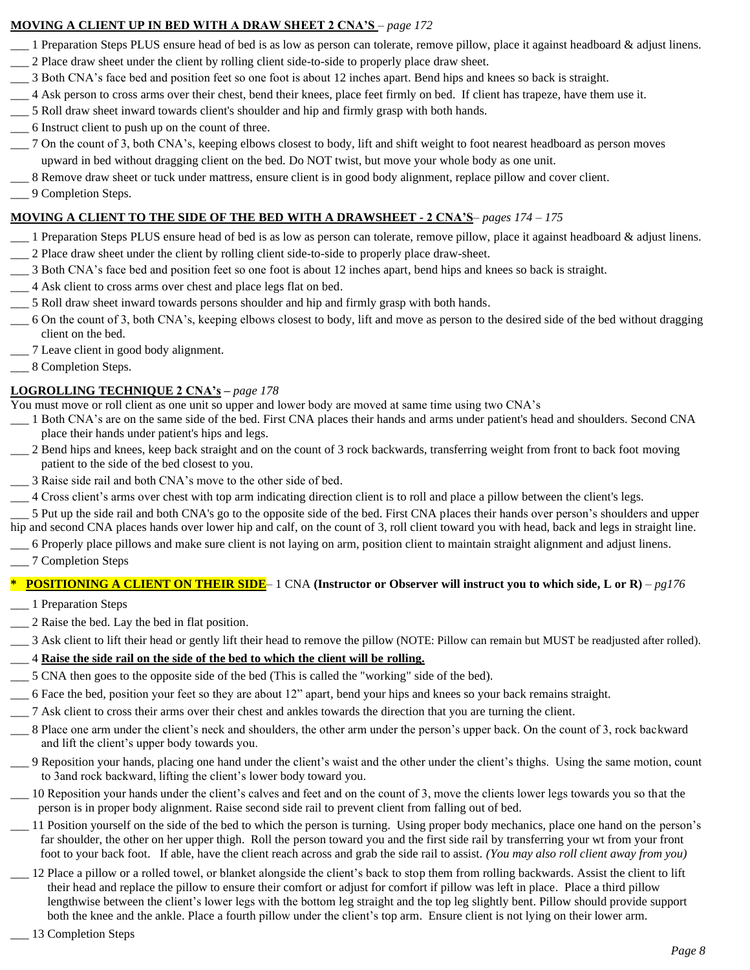### **MOVING A CLIENT UP IN BED WITH A DRAW SHEET 2 CNA'S** *– page 172*

- \_\_\_ 1 Preparation Steps PLUS ensure head of bed is as low as person can tolerate, remove pillow, place it against headboard & adjust linens.
- \_\_\_ 2 Place draw sheet under the client by rolling client side-to-side to properly place draw sheet.
- \_\_\_ 3 Both CNA's face bed and position feet so one foot is about 12 inches apart. Bend hips and knees so back is straight.
- \_\_\_ 4 Ask person to cross arms over their chest, bend their knees, place feet firmly on bed. If client has trapeze, have them use it.
- \_\_\_ 5 Roll draw sheet inward towards client's shoulder and hip and firmly grasp with both hands.
- \_\_\_ 6 Instruct client to push up on the count of three.
- \_\_\_ 7 On the count of 3, both CNA's, keeping elbows closest to body, lift and shift weight to foot nearest headboard as person moves upward in bed without dragging client on the bed. Do NOT twist, but move your whole body as one unit.
- \_\_\_ 8 Remove draw sheet or tuck under mattress, ensure client is in good body alignment, replace pillow and cover client.
- \_\_\_ 9 Completion Steps.

### **MOVING A CLIENT TO THE SIDE OF THE BED WITH A DRAWSHEET - 2 CNA'S***– pages 174 – 175*

- \_\_\_ 1 Preparation Steps PLUS ensure head of bed is as low as person can tolerate, remove pillow, place it against headboard & adjust linens. \_\_\_ 2 Place draw sheet under the client by rolling client side-to-side to properly place draw-sheet.
- \_\_\_ 3 Both CNA's face bed and position feet so one foot is about 12 inches apart, bend hips and knees so back is straight.
- \_\_\_ 4 Ask client to cross arms over chest and place legs flat on bed.
- \_\_\_ 5 Roll draw sheet inward towards persons shoulder and hip and firmly grasp with both hands.
- \_\_\_ 6 On the count of 3, both CNA's, keeping elbows closest to body, lift and move as person to the desired side of the bed without dragging client on the bed.
- \_\_\_ 7 Leave client in good body alignment.
- $\_\_$ 8 Completion Steps.

### **LOGROLLING TECHNIQUE 2 CNA's –** *page 178*

You must move or roll client as one unit so upper and lower body are moved at same time using two CNA's

- \_\_\_ 1 Both CNA's are on the same side of the bed. First CNA places their hands and arms under patient's head and shoulders. Second CNA place their hands under patient's hips and legs.
- \_\_\_ 2 Bend hips and knees, keep back straight and on the count of 3 rock backwards, transferring weight from front to back foot moving patient to the side of the bed closest to you.
- \_\_\_ 3 Raise side rail and both CNA's move to the other side of bed.
- \_\_\_ 4 Cross client's arms over chest with top arm indicating direction client is to roll and place a pillow between the client's legs.
- \_\_\_ 5 Put up the side rail and both CNA's go to the opposite side of the bed. First CNA places their hands over person's shoulders and upper hip and second CNA places hands over lower hip and calf, on the count of 3, roll client toward you with head, back and legs in straight line.
- \_\_\_ 6 Properly place pillows and make sure client is not laying on arm, position client to maintain straight alignment and adjust linens.
- \_\_\_ 7 Completion Steps

### **\* POSITIONING A CLIENT ON THEIR SIDE**– 1 CNA **(Instructor or Observer will instruct you to which side, L or R)** *– pg176*

- \_\_\_ 1 Preparation Steps
- \_\_\_ 2 Raise the bed. Lay the bed in flat position.
- \_\_\_ 3 Ask client to lift their head or gently lift their head to remove the pillow (NOTE: Pillow can remain but MUST be readjusted after rolled).

### \_\_\_ 4 **Raise the side rail on the side of the bed to which the client will be rolling.**

- \_\_\_ 5 CNA then goes to the opposite side of the bed (This is called the "working" side of the bed).
- \_\_\_ 6 Face the bed, position your feet so they are about 12" apart, bend your hips and knees so your back remains straight.
- \_\_\_ 7 Ask client to cross their arms over their chest and ankles towards the direction that you are turning the client.
- \_\_\_ 8 Place one arm under the client's neck and shoulders, the other arm under the person's upper back. On the count of 3, rock backward and lift the client's upper body towards you.
- \_\_\_ 9 Reposition your hands, placing one hand under the client's waist and the other under the client's thighs. Using the same motion, count to 3and rock backward, lifting the client's lower body toward you.
- \_\_\_ 10 Reposition your hands under the client's calves and feet and on the count of 3, move the clients lower legs towards you so that the person is in proper body alignment. Raise second side rail to prevent client from falling out of bed.
- \_\_\_ 11 Position yourself on the side of the bed to which the person is turning. Using proper body mechanics, place one hand on the person's far shoulder, the other on her upper thigh. Roll the person toward you and the first side rail by transferring your wt from your front foot to your back foot. If able, have the client reach across and grab the side rail to assist. *(You may also roll client away from you)*
- \_\_\_ 12 Place a pillow or a rolled towel, or blanket alongside the client's back to stop them from rolling backwards. Assist the client to lift their head and replace the pillow to ensure their comfort or adjust for comfort if pillow was left in place. Place a third pillow lengthwise between the client's lower legs with the bottom leg straight and the top leg slightly bent. Pillow should provide support both the knee and the ankle. Place a fourth pillow under the client's top arm. Ensure client is not lying on their lower arm.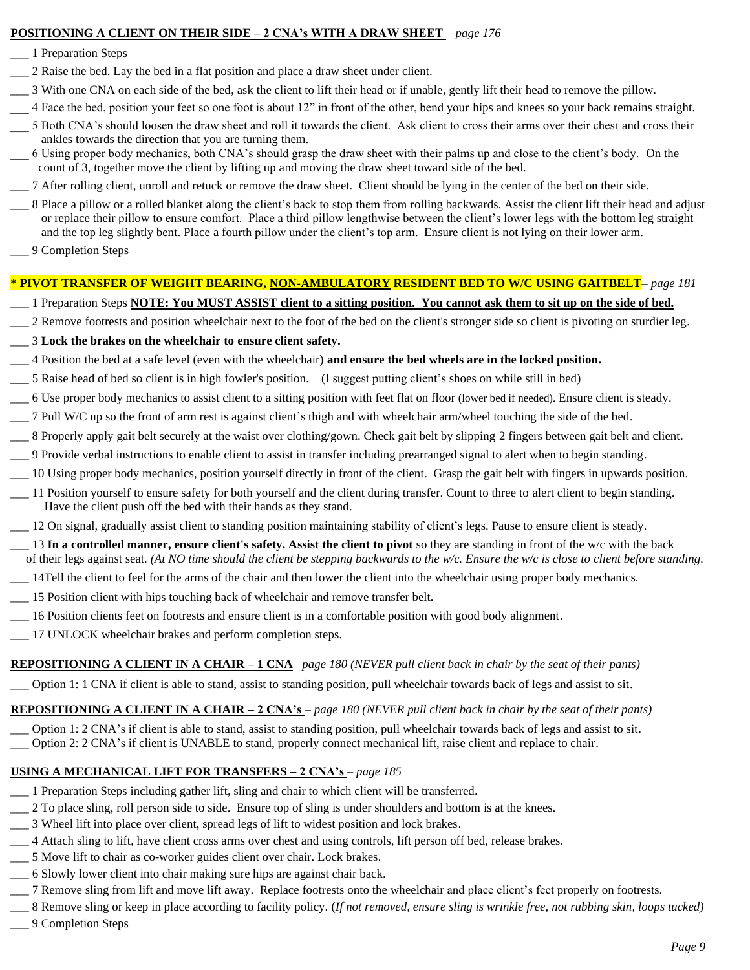#### **POSITIONING A CLIENT ON THEIR SIDE – 2 CNA's WITH A DRAW SHEET** *– page 176*

- \_\_\_ 1 Preparation Steps
- \_\_\_ 2 Raise the bed. Lay the bed in a flat position and place a draw sheet under client.
- \_\_\_ 3 With one CNA on each side of the bed, ask the client to lift their head or if unable, gently lift their head to remove the pillow.
- \_\_\_ 4 Face the bed, position your feet so one foot is about 12" in front of the other, bend your hips and knees so your back remains straight.
- \_\_\_ 5 Both CNA's should loosen the draw sheet and roll it towards the client. Ask client to cross their arms over their chest and cross their ankles towards the direction that you are turning them.
- \_\_\_ 6 Using proper body mechanics, both CNA's should grasp the draw sheet with their palms up and close to the client's body. On the count of 3, together move the client by lifting up and moving the draw sheet toward side of the bed.
- \_\_\_ 7 After rolling client, unroll and retuck or remove the draw sheet. Client should be lying in the center of the bed on their side.
- \_\_\_ 8 Place a pillow or a rolled blanket along the client's back to stop them from rolling backwards. Assist the client lift their head and adjust or replace their pillow to ensure comfort. Place a third pillow lengthwise between the client's lower legs with the bottom leg straight and the top leg slightly bent. Place a fourth pillow under the client's top arm. Ensure client is not lying on their lower arm.
- \_\_\_ 9 Completion Steps

#### **\* PIVOT TRANSFER OF WEIGHT BEARING, NON-AMBULATORY RESIDENT BED TO W/C USING GAITBELT***– page 181*

#### \_\_\_ 1 Preparation Steps **NOTE: You MUST ASSIST client to a sitting position. You cannot ask them to sit up on the side of bed.**

- \_\_\_ 2 Remove footrests and position wheelchair next to the foot of the bed on the client's stronger side so client is pivoting on sturdier leg.
- \_\_\_ 3 **Lock the brakes on the wheelchair to ensure client safety.**
- \_\_\_ 4 Position the bed at a safe level (even with the wheelchair) **and ensure the bed wheels are in the locked position.**
- **\_\_\_** 5 Raise head of bed so client is in high fowler's position. (I suggest putting client's shoes on while still in bed)
- \_\_\_ 6 Use proper body mechanics to assist client to a sitting position with feet flat on floor (lower bed if needed). Ensure client is steady.
- \_\_\_ 7 Pull W/C up so the front of arm rest is against client's thigh and with wheelchair arm/wheel touching the side of the bed.
- \_\_\_ 8 Properly apply gait belt securely at the waist over clothing/gown. Check gait belt by slipping 2 fingers between gait belt and client.
- \_\_\_ 9 Provide verbal instructions to enable client to assist in transfer including prearranged signal to alert when to begin standing.
- \_\_\_ 10 Using proper body mechanics, position yourself directly in front of the client. Grasp the gait belt with fingers in upwards position.
- \_\_\_ 11 Position yourself to ensure safety for both yourself and the client during transfer. Count to three to alert client to begin standing. Have the client push off the bed with their hands as they stand.
- \_\_\_ 12 On signal, gradually assist client to standing position maintaining stability of client's legs. Pause to ensure client is steady.
- \_\_\_ 13 **In a controlled manner, ensure client's safety. Assist the client to pivot** so they are standing in front of the w/c with the back of their legs against seat. *(At NO time should the client be stepping backwards to the w/c. Ensure the w/c is close to client before standing.*
- \_\_\_ 14Tell the client to feel for the arms of the chair and then lower the client into the wheelchair using proper body mechanics.
- \_\_\_ 15 Position client with hips touching back of wheelchair and remove transfer belt.
- \_\_\_ 16 Position clients feet on footrests and ensure client is in a comfortable position with good body alignment.
- 17 UNLOCK wheelchair brakes and perform completion steps.

#### **REPOSITIONING A CLIENT IN A CHAIR – 1 CNA***– page 180 (NEVER pull client back in chair by the seat of their pants)*

Option 1: 1 CNA if client is able to stand, assist to standing position, pull wheelchair towards back of legs and assist to sit.

#### **REPOSITIONING A CLIENT IN A CHAIR – 2 CNA's** *– page 180 (NEVER pull client back in chair by the seat of their pants)*

\_\_\_ Option 1: 2 CNA's if client is able to stand, assist to standing position, pull wheelchair towards back of legs and assist to sit. \_\_\_ Option 2: 2 CNA's if client is UNABLE to stand, properly connect mechanical lift, raise client and replace to chair.

### **USING A MECHANICAL LIFT FOR TRANSFERS – 2 CNA's** *– page 185*

- \_\_\_ 1 Preparation Steps including gather lift, sling and chair to which client will be transferred.
- \_\_\_ 2 To place sling, roll person side to side. Ensure top of sling is under shoulders and bottom is at the knees.
- \_\_\_ 3 Wheel lift into place over client, spread legs of lift to widest position and lock brakes.
- \_\_\_ 4 Attach sling to lift, have client cross arms over chest and using controls, lift person off bed, release brakes.
- \_\_\_ 5 Move lift to chair as co-worker guides client over chair. Lock brakes.
- \_\_\_ 6 Slowly lower client into chair making sure hips are against chair back.
- \_\_\_ 7 Remove sling from lift and move lift away. Replace footrests onto the wheelchair and place client's feet properly on footrests.
- \_\_\_ 8 Remove sling or keep in place according to facility policy. (*If not removed, ensure sling is wrinkle free, not rubbing skin, loops tucked)* \_\_\_ 9 Completion Steps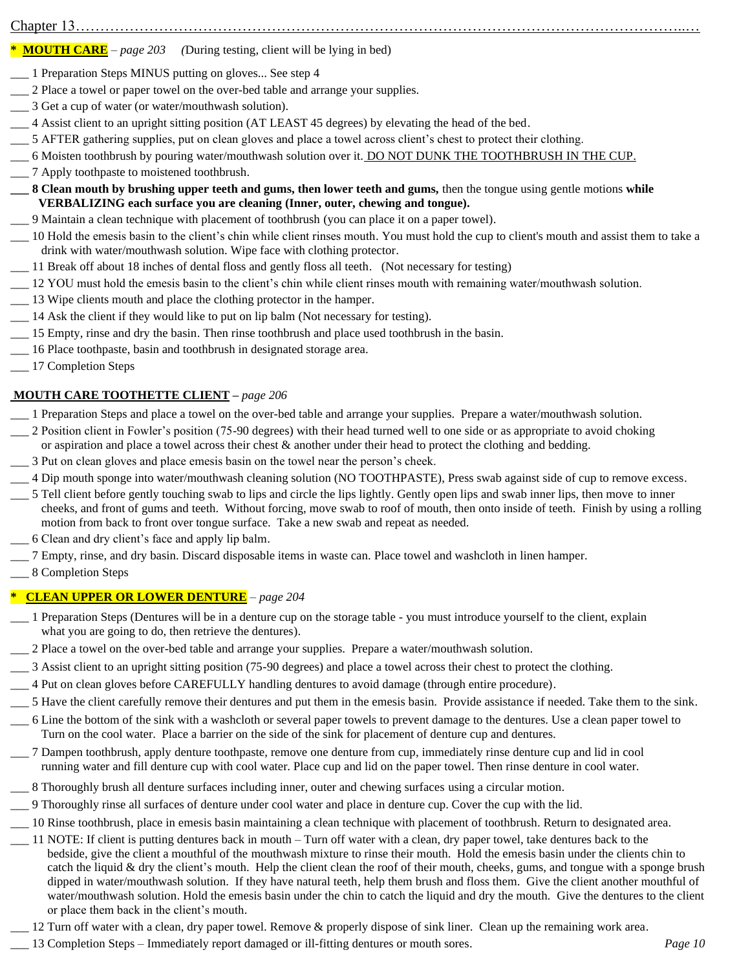### $Chapter 13......$

#### **\* MOUTH CARE** *– page 203 (*During testing, client will be lying in bed)

- \_\_\_ 1 Preparation Steps MINUS putting on gloves... See step 4
- \_\_\_ 2 Place a towel or paper towel on the over-bed table and arrange your supplies.
- \_\_\_ 3 Get a cup of water (or water/mouthwash solution).
- \_\_\_ 4 Assist client to an upright sitting position (AT LEAST 45 degrees) by elevating the head of the bed.
- \_\_\_ 5 AFTER gathering supplies, put on clean gloves and place a towel across client's chest to protect their clothing.
- \_\_\_ 6 Moisten toothbrush by pouring water/mouthwash solution over it. DO NOT DUNK THE TOOTHBRUSH IN THE CUP.
- \_\_\_ 7 Apply toothpaste to moistened toothbrush.
- **\_\_\_ 8 Clean mouth by brushing upper teeth and gums, then lower teeth and gums,** then the tongue using gentle motions **while VERBALIZING each surface you are cleaning (Inner, outer, chewing and tongue).**
- \_\_\_ 9 Maintain a clean technique with placement of toothbrush (you can place it on a paper towel).
- \_\_\_ 10 Hold the emesis basin to the client's chin while client rinses mouth. You must hold the cup to client's mouth and assist them to take a drink with water/mouthwash solution. Wipe face with clothing protector.
- \_\_\_ 11 Break off about 18 inches of dental floss and gently floss all teeth. (Not necessary for testing)
- \_\_\_ 12 YOU must hold the emesis basin to the client's chin while client rinses mouth with remaining water/mouthwash solution.
- \_\_\_ 13 Wipe clients mouth and place the clothing protector in the hamper.
- \_\_\_ 14 Ask the client if they would like to put on lip balm (Not necessary for testing).
- \_\_\_ 15 Empty, rinse and dry the basin. Then rinse toothbrush and place used toothbrush in the basin.
- \_\_\_ 16 Place toothpaste, basin and toothbrush in designated storage area.
- \_\_\_ 17 Completion Steps

#### **MOUTH CARE TOOTHETTE CLIENT –** *page 206*

- \_\_\_ 1 Preparation Steps and place a towel on the over-bed table and arrange your supplies. Prepare a water/mouthwash solution.
- \_\_\_ 2 Position client in Fowler's position (75-90 degrees) with their head turned well to one side or as appropriate to avoid choking or aspiration and place a towel across their chest & another under their head to protect the clothing and bedding.
- \_\_\_ 3 Put on clean gloves and place emesis basin on the towel near the person's cheek.
- \_\_\_ 4 Dip mouth sponge into water/mouthwash cleaning solution (NO TOOTHPASTE), Press swab against side of cup to remove excess.
- \_\_\_ 5 Tell client before gently touching swab to lips and circle the lips lightly. Gently open lips and swab inner lips, then move to inner cheeks, and front of gums and teeth. Without forcing, move swab to roof of mouth, then onto inside of teeth. Finish by using a rolling motion from back to front over tongue surface. Take a new swab and repeat as needed.
- \_\_\_ 6 Clean and dry client's face and apply lip balm.
- \_\_\_ 7 Empty, rinse, and dry basin. Discard disposable items in waste can. Place towel and washcloth in linen hamper.
- \_\_\_ 8 Completion Steps

#### **\* CLEAN UPPER OR LOWER DENTURE** *– page 204*

- \_\_\_ 1 Preparation Steps (Dentures will be in a denture cup on the storage table you must introduce yourself to the client, explain what you are going to do, then retrieve the dentures).
- \_\_\_ 2 Place a towel on the over-bed table and arrange your supplies. Prepare a water/mouthwash solution.
- \_\_\_ 3 Assist client to an upright sitting position (75-90 degrees) and place a towel across their chest to protect the clothing.
- \_\_\_ 4 Put on clean gloves before CAREFULLY handling dentures to avoid damage (through entire procedure).
- \_\_\_ 5 Have the client carefully remove their dentures and put them in the emesis basin. Provide assistance if needed. Take them to the sink.
- \_\_\_ 6 Line the bottom of the sink with a washcloth or several paper towels to prevent damage to the dentures. Use a clean paper towel to Turn on the cool water. Place a barrier on the side of the sink for placement of denture cup and dentures.
- \_\_\_ 7 Dampen toothbrush, apply denture toothpaste, remove one denture from cup, immediately rinse denture cup and lid in cool running water and fill denture cup with cool water. Place cup and lid on the paper towel. Then rinse denture in cool water.
- \_\_\_ 8 Thoroughly brush all denture surfaces including inner, outer and chewing surfaces using a circular motion.
- \_\_\_ 9 Thoroughly rinse all surfaces of denture under cool water and place in denture cup. Cover the cup with the lid.
- \_\_\_ 10 Rinse toothbrush, place in emesis basin maintaining a clean technique with placement of toothbrush. Return to designated area.
- \_\_\_ 11 NOTE: If client is putting dentures back in mouth Turn off water with a clean, dry paper towel, take dentures back to the bedside, give the client a mouthful of the mouthwash mixture to rinse their mouth. Hold the emesis basin under the clients chin to catch the liquid & dry the client's mouth. Help the client clean the roof of their mouth, cheeks, gums, and tongue with a sponge brush dipped in water/mouthwash solution. If they have natural teeth, help them brush and floss them. Give the client another mouthful of water/mouthwash solution. Hold the emesis basin under the chin to catch the liquid and dry the mouth. Give the dentures to the client or place them back in the client's mouth.
	- 12 Turn off water with a clean, dry paper towel. Remove & properly dispose of sink liner. Clean up the remaining work area.
- \_\_\_ 13 Completion Steps Immediately report damaged or ill-fitting dentures or mouth sores. *Page 10*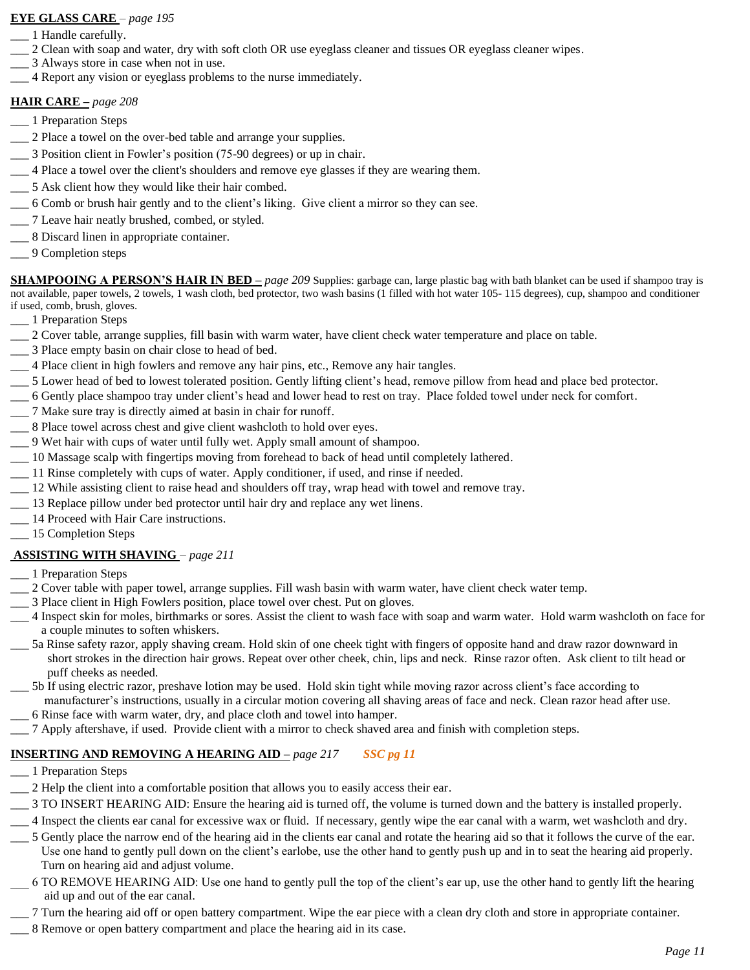#### **EYE GLASS CARE** *– page 195*

- \_\_\_ 1 Handle carefully.
- \_\_\_ 2 Clean with soap and water, dry with soft cloth OR use eyeglass cleaner and tissues OR eyeglass cleaner wipes.
- 3 Always store in case when not in use.
- \_\_\_ 4 Report any vision or eyeglass problems to the nurse immediately.

#### **HAIR CARE –** *page 208*

- \_\_\_ 1 Preparation Steps
- \_\_\_ 2 Place a towel on the over-bed table and arrange your supplies.
- \_\_\_ 3 Position client in Fowler's position (75-90 degrees) or up in chair.
- \_\_\_ 4 Place a towel over the client's shoulders and remove eye glasses if they are wearing them.
- \_\_\_ 5 Ask client how they would like their hair combed.
- \_\_\_ 6 Comb or brush hair gently and to the client's liking. Give client a mirror so they can see.
- \_\_\_ 7 Leave hair neatly brushed, combed, or styled.
- \_\_\_ 8 Discard linen in appropriate container.
- \_\_\_ 9 Completion steps

**SHAMPOOING A PERSON'S HAIR IN BED** – *page 209* Supplies: garbage can, large plastic bag with bath blanket can be used if shampoo tray is not available, paper towels, 2 towels, 1 wash cloth, bed protector, two wash basins (1 filled with hot water 105- 115 degrees), cup, shampoo and conditioner if used, comb, brush, gloves.

- \_\_\_ 1 Preparation Steps
- \_\_\_ 2 Cover table, arrange supplies, fill basin with warm water, have client check water temperature and place on table.
- \_\_\_ 3 Place empty basin on chair close to head of bed.
- \_\_\_ 4 Place client in high fowlers and remove any hair pins, etc., Remove any hair tangles.
- \_\_\_ 5 Lower head of bed to lowest tolerated position. Gently lifting client's head, remove pillow from head and place bed protector.
- \_\_\_ 6 Gently place shampoo tray under client's head and lower head to rest on tray. Place folded towel under neck for comfort.
- \_\_\_ 7 Make sure tray is directly aimed at basin in chair for runoff.
- \_\_\_ 8 Place towel across chest and give client washcloth to hold over eyes.
- \_\_\_ 9 Wet hair with cups of water until fully wet. Apply small amount of shampoo.
- \_\_\_ 10 Massage scalp with fingertips moving from forehead to back of head until completely lathered.
- \_\_\_ 11 Rinse completely with cups of water. Apply conditioner, if used, and rinse if needed.
- \_\_\_ 12 While assisting client to raise head and shoulders off tray, wrap head with towel and remove tray.
- \_\_\_ 13 Replace pillow under bed protector until hair dry and replace any wet linens.
- \_\_\_ 14 Proceed with Hair Care instructions.
- \_\_\_ 15 Completion Steps

#### **ASSISTING WITH SHAVING** *– page 211*

- \_\_\_ 1 Preparation Steps
- \_\_\_ 2 Cover table with paper towel, arrange supplies. Fill wash basin with warm water, have client check water temp.
- \_\_\_ 3 Place client in High Fowlers position, place towel over chest. Put on gloves.
- \_\_\_ 4 Inspect skin for moles, birthmarks or sores. Assist the client to wash face with soap and warm water. Hold warm washcloth on face for a couple minutes to soften whiskers.
- \_\_\_ 5a Rinse safety razor, apply shaving cream. Hold skin of one cheek tight with fingers of opposite hand and draw razor downward in short strokes in the direction hair grows. Repeat over other cheek, chin, lips and neck. Rinse razor often. Ask client to tilt head or puff cheeks as needed.

\_\_\_ 5b If using electric razor, preshave lotion may be used. Hold skin tight while moving razor across client's face according to manufacturer's instructions, usually in a circular motion covering all shaving areas of face and neck. Clean razor head after use.

- \_\_\_ 6 Rinse face with warm water, dry, and place cloth and towel into hamper.
- \_\_\_ 7 Apply aftershave, if used. Provide client with a mirror to check shaved area and finish with completion steps.

### **INSERTING AND REMOVING A HEARING AID –** *page 217 SSC pg 11*

- \_\_\_ 1 Preparation Steps
- \_\_\_ 2 Help the client into a comfortable position that allows you to easily access their ear.
- \_\_\_ 3 TO INSERT HEARING AID: Ensure the hearing aid is turned off, the volume is turned down and the battery is installed properly.
- \_\_\_ 4 Inspect the clients ear canal for excessive wax or fluid. If necessary, gently wipe the ear canal with a warm, wet washcloth and dry.
- \_\_\_ 5 Gently place the narrow end of the hearing aid in the clients ear canal and rotate the hearing aid so that it follows the curve of the ear. Use one hand to gently pull down on the client's earlobe, use the other hand to gently push up and in to seat the hearing aid properly. Turn on hearing aid and adjust volume.
- \_\_\_ 6 TO REMOVE HEARING AID: Use one hand to gently pull the top of the client's ear up, use the other hand to gently lift the hearing aid up and out of the ear canal.
- \_\_\_ 7 Turn the hearing aid off or open battery compartment. Wipe the ear piece with a clean dry cloth and store in appropriate container.
- \_\_\_ 8 Remove or open battery compartment and place the hearing aid in its case.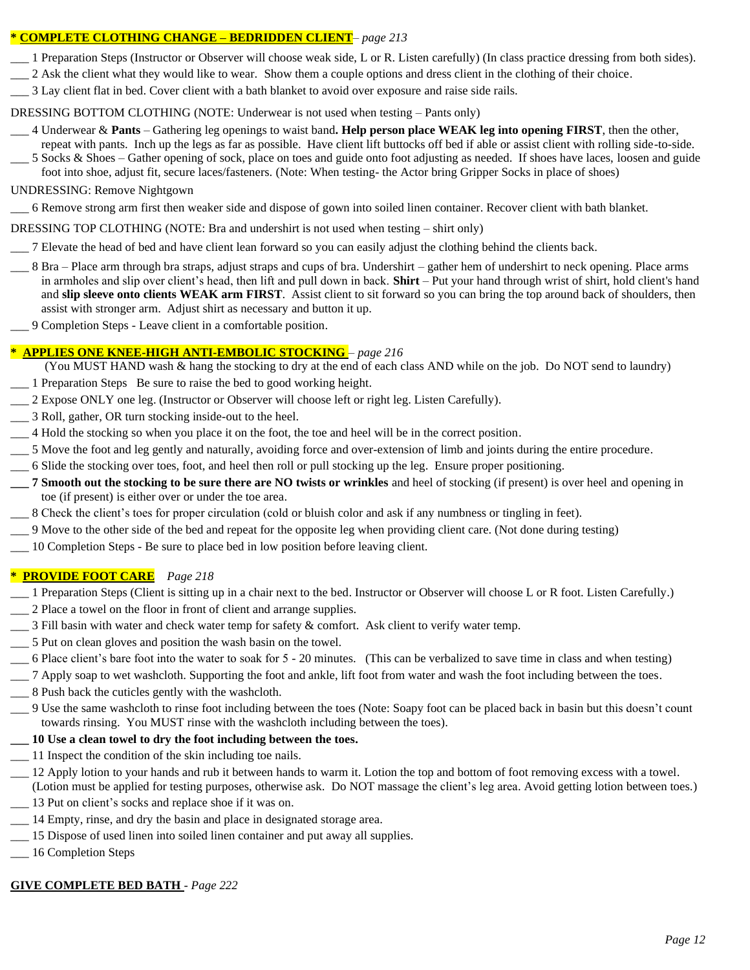#### **\* COMPLETE CLOTHING CHANGE – BEDRIDDEN CLIENT***– page 213*

- \_\_\_ 1 Preparation Steps (Instructor or Observer will choose weak side, L or R. Listen carefully) (In class practice dressing from both sides).
- \_\_\_ 2 Ask the client what they would like to wear. Show them a couple options and dress client in the clothing of their choice.
- \_\_\_ 3 Lay client flat in bed. Cover client with a bath blanket to avoid over exposure and raise side rails.

### DRESSING BOTTOM CLOTHING (NOTE: Underwear is not used when testing – Pants only)

- \_\_\_ 4 Underwear & **Pants** Gathering leg openings to waist band**. Help person place WEAK leg into opening FIRST**, then the other, repeat with pants. Inch up the legs as far as possible. Have client lift buttocks off bed if able or assist client with rolling side-to-side.
- \_\_\_ 5 Socks & Shoes Gather opening of sock, place on toes and guide onto foot adjusting as needed. If shoes have laces, loosen and guide foot into shoe, adjust fit, secure laces/fasteners. (Note: When testing- the Actor bring Gripper Socks in place of shoes)

### UNDRESSING: Remove Nightgown

- \_\_\_ 6 Remove strong arm first then weaker side and dispose of gown into soiled linen container. Recover client with bath blanket.
- DRESSING TOP CLOTHING (NOTE: Bra and undershirt is not used when testing shirt only)
- \_\_\_ 7 Elevate the head of bed and have client lean forward so you can easily adjust the clothing behind the clients back.
- \_\_\_ 8 Bra Place arm through bra straps, adjust straps and cups of bra. Undershirt gather hem of undershirt to neck opening. Place arms in armholes and slip over client's head, then lift and pull down in back. **Shirt** – Put your hand through wrist of shirt, hold client's hand and **slip sleeve onto clients WEAK arm FIRST**. Assist client to sit forward so you can bring the top around back of shoulders, then assist with stronger arm. Adjust shirt as necessary and button it up.
- \_\_\_ 9 Completion Steps Leave client in a comfortable position.

### **\* APPLIES ONE KNEE-HIGH ANTI-EMBOLIC STOCKING** *– page 216*

(You MUST HAND wash & hang the stocking to dry at the end of each class AND while on the job. Do NOT send to laundry)

- \_\_\_ 1 Preparation Steps Be sure to raise the bed to good working height.
- \_\_\_ 2 Expose ONLY one leg. (Instructor or Observer will choose left or right leg. Listen Carefully).
- \_\_\_ 3 Roll, gather, OR turn stocking inside-out to the heel.
- \_\_\_ 4 Hold the stocking so when you place it on the foot, the toe and heel will be in the correct position.
- \_\_\_ 5 Move the foot and leg gently and naturally, avoiding force and over-extension of limb and joints during the entire procedure.
- \_\_\_ 6 Slide the stocking over toes, foot, and heel then roll or pull stocking up the leg. Ensure proper positioning.
- **\_\_\_ 7 Smooth out the stocking to be sure there are NO twists or wrinkles** and heel of stocking (if present) is over heel and opening in toe (if present) is either over or under the toe area.
- \_\_\_ 8 Check the client's toes for proper circulation (cold or bluish color and ask if any numbness or tingling in feet).
- \_\_\_ 9 Move to the other side of the bed and repeat for the opposite leg when providing client care. (Not done during testing)
- \_\_\_ 10 Completion Steps Be sure to place bed in low position before leaving client.

### **\* PROVIDE FOOT CARE** *Page 218*

- \_\_\_ 1 Preparation Steps (Client is sitting up in a chair next to the bed. Instructor or Observer will choose L or R foot. Listen Carefully.)
- \_\_\_ 2 Place a towel on the floor in front of client and arrange supplies.
- \_\_\_ 3 Fill basin with water and check water temp for safety & comfort. Ask client to verify water temp.
- \_\_\_ 5 Put on clean gloves and position the wash basin on the towel.
- \_\_\_ 6 Place client's bare foot into the water to soak for 5 20 minutes. (This can be verbalized to save time in class and when testing)
- \_\_\_ 7 Apply soap to wet washcloth. Supporting the foot and ankle, lift foot from water and wash the foot including between the toes.
- \_\_\_ 8 Push back the cuticles gently with the washcloth.
- \_\_\_ 9 Use the same washcloth to rinse foot including between the toes (Note: Soapy foot can be placed back in basin but this doesn't count towards rinsing. You MUST rinse with the washcloth including between the toes).

### **\_\_\_ 10 Use a clean towel to dry the foot including between the toes.**

- \_\_\_ 11 Inspect the condition of the skin including toe nails.
- \_\_\_ 12 Apply lotion to your hands and rub it between hands to warm it. Lotion the top and bottom of foot removing excess with a towel.
- (Lotion must be applied for testing purposes, otherwise ask. Do NOT massage the client's leg area. Avoid getting lotion between toes.) \_\_\_ 13 Put on client's socks and replace shoe if it was on.
- \_\_\_ 14 Empty, rinse, and dry the basin and place in designated storage area.
- \_\_\_ 15 Dispose of used linen into soiled linen container and put away all supplies.
- \_\_\_ 16 Completion Steps

# **GIVE COMPLETE BED BATH** - *Page 222*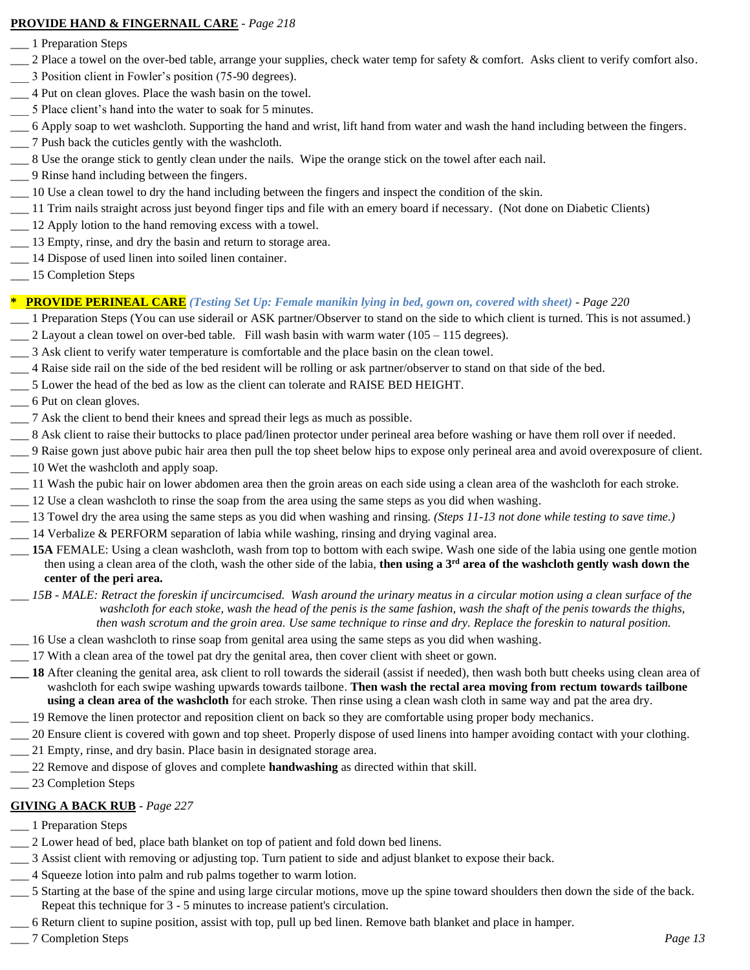#### **PROVIDE HAND & FINGERNAIL CARE** - *Page 218*

- \_\_\_ 1 Preparation Steps
- 2 Place a towel on the over-bed table, arrange your supplies, check water temp for safety & comfort. Asks client to verify comfort also.
- \_\_\_ 3 Position client in Fowler's position (75-90 degrees).
- \_\_\_ 4 Put on clean gloves. Place the wash basin on the towel.
- \_\_\_ 5 Place client's hand into the water to soak for 5 minutes.
- \_\_\_ 6 Apply soap to wet washcloth. Supporting the hand and wrist, lift hand from water and wash the hand including between the fingers.
- \_\_\_ 7 Push back the cuticles gently with the washcloth.
- \_\_\_ 8 Use the orange stick to gently clean under the nails. Wipe the orange stick on the towel after each nail.
- \_\_\_ 9 Rinse hand including between the fingers.
- \_\_\_ 10 Use a clean towel to dry the hand including between the fingers and inspect the condition of the skin.
- \_\_\_ 11 Trim nails straight across just beyond finger tips and file with an emery board if necessary. (Not done on Diabetic Clients)
- \_\_\_ 12 Apply lotion to the hand removing excess with a towel.
- \_\_\_ 13 Empty, rinse, and dry the basin and return to storage area.
- \_\_\_ 14 Dispose of used linen into soiled linen container.
- \_\_\_ 15 Completion Steps

### **\* PROVIDE PERINEAL CARE** *(Testing Set Up: Female manikin lying in bed, gown on, covered with sheet)* - *Page 220*

- \_\_\_ 1 Preparation Steps (You can use siderail or ASK partner/Observer to stand on the side to which client is turned. This is not assumed.)  $\_\_$ 2 Layout a clean towel on over-bed table. Fill wash basin with warm water (105 – 115 degrees).
- \_\_\_ 3 Ask client to verify water temperature is comfortable and the place basin on the clean towel.
- \_\_\_ 4 Raise side rail on the side of the bed resident will be rolling or ask partner/observer to stand on that side of the bed.
- \_\_\_ 5 Lower the head of the bed as low as the client can tolerate and RAISE BED HEIGHT.
- \_\_\_ 6 Put on clean gloves.
- \_\_\_ 7 Ask the client to bend their knees and spread their legs as much as possible.
- 8 Ask client to raise their buttocks to place pad/linen protector under perineal area before washing or have them roll over if needed.
- \_\_\_ 9 Raise gown just above pubic hair area then pull the top sheet below hips to expose only perineal area and avoid overexposure of client.
- \_\_\_ 10 Wet the washcloth and apply soap.
- \_\_\_ 11 Wash the pubic hair on lower abdomen area then the groin areas on each side using a clean area of the washcloth for each stroke.
- \_\_\_ 12 Use a clean washcloth to rinse the soap from the area using the same steps as you did when washing.
- \_\_\_ 13 Towel dry the area using the same steps as you did when washing and rinsing. *(Steps 11-13 not done while testing to save time.)*
- \_\_\_ 14 Verbalize & PERFORM separation of labia while washing, rinsing and drying vaginal area.
- \_\_\_ **15A** FEMALE: Using a clean washcloth, wash from top to bottom with each swipe. Wash one side of the labia using one gentle motion then using a clean area of the cloth, wash the other side of the labia, **then using a 3rd area of the washcloth gently wash down the center of the peri area.**
- *\_\_\_ 15B - MALE: Retract the foreskin if uncircumcised. Wash around the urinary meatus in a circular motion using a clean surface of the washcloth for each stoke, wash the head of the penis is the same fashion, wash the shaft of the penis towards the thighs, then wash scrotum and the groin area. Use same technique to rinse and dry. Replace the foreskin to natural position.*
- \_\_\_ 16 Use a clean washcloth to rinse soap from genital area using the same steps as you did when washing.
- \_\_\_ 17 With a clean area of the towel pat dry the genital area, then cover client with sheet or gown.
- **\_\_\_ 18** After cleaning the genital area, ask client to roll towards the siderail (assist if needed), then wash both butt cheeks using clean area of washcloth for each swipe washing upwards towards tailbone. **Then wash the rectal area moving from rectum towards tailbone using a clean area of the washcloth** for each stroke. Then rinse using a clean wash cloth in same way and pat the area dry.
- \_\_\_ 19 Remove the linen protector and reposition client on back so they are comfortable using proper body mechanics.
- \_\_\_ 20 Ensure client is covered with gown and top sheet. Properly dispose of used linens into hamper avoiding contact with your clothing.
- \_\_\_ 21 Empty, rinse, and dry basin. Place basin in designated storage area.
- \_\_\_ 22 Remove and dispose of gloves and complete **handwashing** as directed within that skill.
- 23 Completion Steps

### **GIVING A BACK RUB** - *Page 227*

- \_\_\_ 1 Preparation Steps
- \_\_\_ 2 Lower head of bed, place bath blanket on top of patient and fold down bed linens.
- \_\_\_ 3 Assist client with removing or adjusting top. Turn patient to side and adjust blanket to expose their back.
- \_\_\_ 4 Squeeze lotion into palm and rub palms together to warm lotion.
- \_\_\_ 5 Starting at the base of the spine and using large circular motions, move up the spine toward shoulders then down the side of the back. Repeat this technique for 3 - 5 minutes to increase patient's circulation.
- \_\_\_ 6 Return client to supine position, assist with top, pull up bed linen. Remove bath blanket and place in hamper.
- \_\_\_ 7 Completion Steps *Page 13*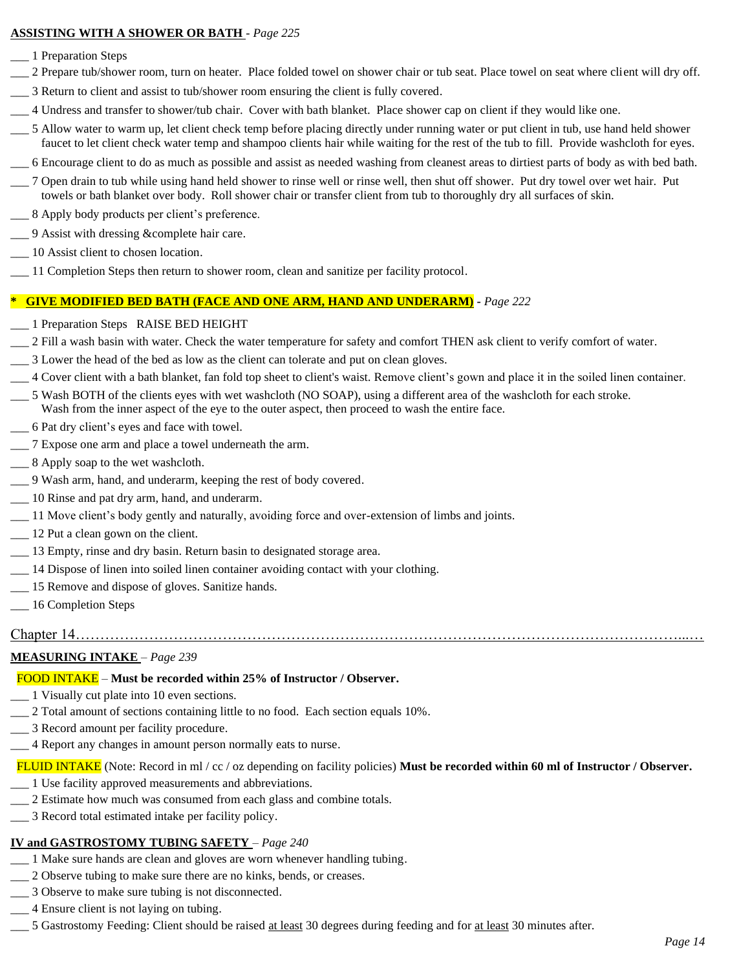#### **ASSISTING WITH A SHOWER OR BATH** - *Page 225*

- \_\_\_ 1 Preparation Steps
- \_\_\_ 2 Prepare tub/shower room, turn on heater. Place folded towel on shower chair or tub seat. Place towel on seat where client will dry off.
- \_\_\_ 3 Return to client and assist to tub/shower room ensuring the client is fully covered.
- \_\_\_ 4 Undress and transfer to shower/tub chair. Cover with bath blanket. Place shower cap on client if they would like one.
- \_\_\_ 5 Allow water to warm up, let client check temp before placing directly under running water or put client in tub, use hand held shower faucet to let client check water temp and shampoo clients hair while waiting for the rest of the tub to fill. Provide washcloth for eyes.
- \_\_\_ 6 Encourage client to do as much as possible and assist as needed washing from cleanest areas to dirtiest parts of body as with bed bath.
- \_\_\_ 7 Open drain to tub while using hand held shower to rinse well or rinse well, then shut off shower. Put dry towel over wet hair. Put towels or bath blanket over body. Roll shower chair or transfer client from tub to thoroughly dry all surfaces of skin.
- \_\_\_ 8 Apply body products per client's preference.
- \_\_\_ 9 Assist with dressing &complete hair care.
- \_\_\_ 10 Assist client to chosen location.
- \_\_\_ 11 Completion Steps then return to shower room, clean and sanitize per facility protocol.

#### **\* GIVE MODIFIED BED BATH (FACE AND ONE ARM, HAND AND UNDERARM) -** *Page 222*

- \_\_\_ 1 Preparation Steps RAISE BED HEIGHT
- \_\_\_ 2 Fill a wash basin with water. Check the water temperature for safety and comfort THEN ask client to verify comfort of water.
- \_\_\_ 3 Lower the head of the bed as low as the client can tolerate and put on clean gloves.
- \_\_\_ 4 Cover client with a bath blanket, fan fold top sheet to client's waist. Remove client's gown and place it in the soiled linen container.
- \_\_\_ 5 Wash BOTH of the clients eyes with wet washcloth (NO SOAP), using a different area of the washcloth for each stroke.
- Wash from the inner aspect of the eye to the outer aspect, then proceed to wash the entire face.
- \_\_\_ 6 Pat dry client's eyes and face with towel.
- \_\_\_ 7 Expose one arm and place a towel underneath the arm.
- $\_\_\_\$ 8 Apply soap to the wet washcloth.
- \_\_\_ 9 Wash arm, hand, and underarm, keeping the rest of body covered.
- \_\_\_ 10 Rinse and pat dry arm, hand, and underarm.
- \_\_\_ 11 Move client's body gently and naturally, avoiding force and over-extension of limbs and joints.
- \_\_\_ 12 Put a clean gown on the client.
- \_\_\_ 13 Empty, rinse and dry basin. Return basin to designated storage area.
- \_\_\_ 14 Dispose of linen into soiled linen container avoiding contact with your clothing.
- \_\_\_ 15 Remove and dispose of gloves. Sanitize hands.
- \_\_\_ 16 Completion Steps

#### Chapter 14……………………………………………………………………………………………………………...…

#### **MEASURING INTAKE** – *Page 239*

#### FOOD INTAKE – **Must be recorded within 25% of Instructor / Observer.**

- \_\_\_ 1 Visually cut plate into 10 even sections.
- \_\_\_ 2 Total amount of sections containing little to no food. Each section equals 10%.
- \_\_\_ 3 Record amount per facility procedure.
- \_\_\_ 4 Report any changes in amount person normally eats to nurse.

FLUID INTAKE (Note: Record in ml / cc / oz depending on facility policies) **Must be recorded within 60 ml of Instructor / Observer.**

- \_\_\_ 1 Use facility approved measurements and abbreviations.
- \_\_\_ 2 Estimate how much was consumed from each glass and combine totals.
- \_\_\_ 3 Record total estimated intake per facility policy.

#### **IV and GASTROSTOMY TUBING SAFETY** – *Page 240*

- \_\_\_ 1 Make sure hands are clean and gloves are worn whenever handling tubing.
- \_\_\_ 2 Observe tubing to make sure there are no kinks, bends, or creases.
- \_\_\_ 3 Observe to make sure tubing is not disconnected.
- \_\_\_ 4 Ensure client is not laying on tubing.
- 5 Gastrostomy Feeding: Client should be raised at least 30 degrees during feeding and for at least 30 minutes after.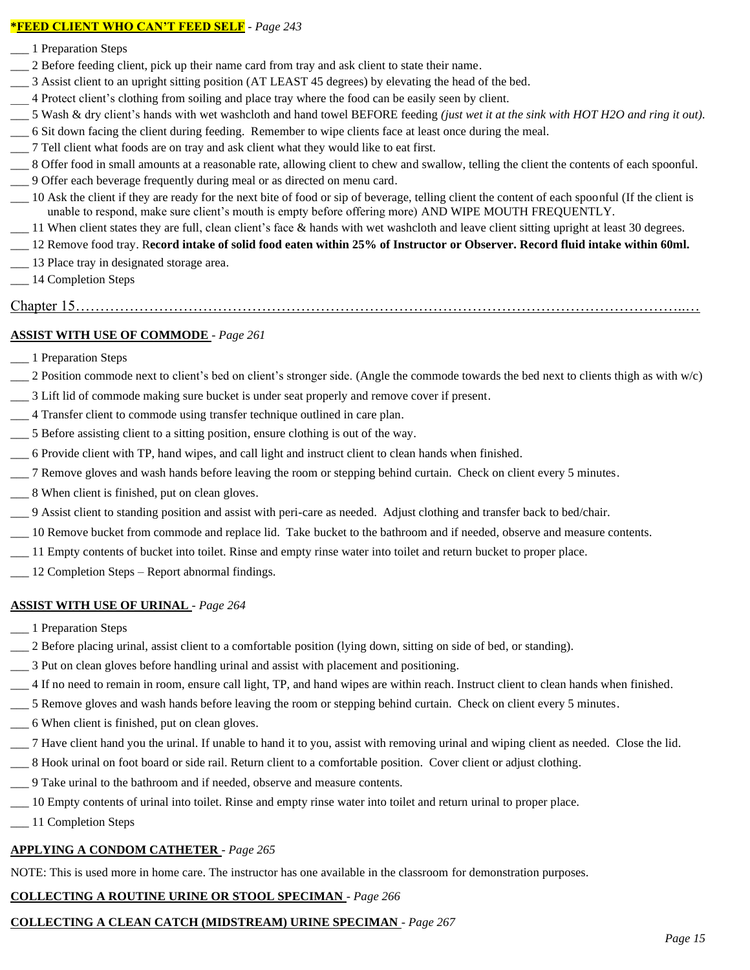#### **\*FEED CLIENT WHO CAN'T FEED SELF** - *Page 243*

- \_\_\_ 1 Preparation Steps
- \_\_\_ 2 Before feeding client, pick up their name card from tray and ask client to state their name.
- \_\_\_ 3 Assist client to an upright sitting position (AT LEAST 45 degrees) by elevating the head of the bed.
- \_\_\_ 4 Protect client's clothing from soiling and place tray where the food can be easily seen by client.
- \_\_\_ 5 Wash & dry client's hands with wet washcloth and hand towel BEFORE feeding *(just wet it at the sink with HOT H2O and ring it out).*
- \_\_\_ 6 Sit down facing the client during feeding. Remember to wipe clients face at least once during the meal.
- \_\_\_ 7 Tell client what foods are on tray and ask client what they would like to eat first.
- \_\_\_ 8 Offer food in small amounts at a reasonable rate, allowing client to chew and swallow, telling the client the contents of each spoonful.
- \_\_\_ 9 Offer each beverage frequently during meal or as directed on menu card.
- \_\_\_ 10 Ask the client if they are ready for the next bite of food or sip of beverage, telling client the content of each spoonful (If the client is unable to respond, make sure client's mouth is empty before offering more) AND WIPE MOUTH FREQUENTLY.
- \_\_ 11 When client states they are full, clean client's face & hands with wet washcloth and leave client sitting upright at least 30 degrees.
- \_\_\_ 12 Remove food tray. R**ecord intake of solid food eaten within 25% of Instructor or Observer. Record fluid intake within 60ml.**
- \_\_\_ 13 Place tray in designated storage area.
- \_\_\_ 14 Completion Steps

#### Chapter 15……………………………………………………………………………………………………………..…

### **ASSIST WITH USE OF COMMODE** - *Page 261*

- \_\_\_ 1 Preparation Steps
- $\_\_$  2 Position commode next to client's bed on client's stronger side. (Angle the commode towards the bed next to clients thigh as with w/c)
- \_\_\_ 3 Lift lid of commode making sure bucket is under seat properly and remove cover if present.
- \_\_\_ 4 Transfer client to commode using transfer technique outlined in care plan.
- \_\_\_ 5 Before assisting client to a sitting position, ensure clothing is out of the way.
- \_\_\_ 6 Provide client with TP, hand wipes, and call light and instruct client to clean hands when finished.
- \_\_\_ 7 Remove gloves and wash hands before leaving the room or stepping behind curtain. Check on client every 5 minutes.
- \_\_\_ 8 When client is finished, put on clean gloves.
- \_\_\_ 9 Assist client to standing position and assist with peri-care as needed. Adjust clothing and transfer back to bed/chair.
- \_\_\_ 10 Remove bucket from commode and replace lid. Take bucket to the bathroom and if needed, observe and measure contents.
- \_\_\_ 11 Empty contents of bucket into toilet. Rinse and empty rinse water into toilet and return bucket to proper place.
- \_\_ 12 Completion Steps Report abnormal findings.

### **ASSIST WITH USE OF URINAL** - *Page 264*

- \_\_\_ 1 Preparation Steps
- \_\_\_ 2 Before placing urinal, assist client to a comfortable position (lying down, sitting on side of bed, or standing).
- \_\_\_ 3 Put on clean gloves before handling urinal and assist with placement and positioning.
- \_\_\_ 4 If no need to remain in room, ensure call light, TP, and hand wipes are within reach. Instruct client to clean hands when finished.
- \_\_\_ 5 Remove gloves and wash hands before leaving the room or stepping behind curtain. Check on client every 5 minutes.
- \_\_\_ 6 When client is finished, put on clean gloves.
- \_\_\_ 7 Have client hand you the urinal. If unable to hand it to you, assist with removing urinal and wiping client as needed. Close the lid.
- \_\_\_ 8 Hook urinal on foot board or side rail. Return client to a comfortable position. Cover client or adjust clothing.
- \_\_\_ 9 Take urinal to the bathroom and if needed, observe and measure contents.
- \_\_\_ 10 Empty contents of urinal into toilet. Rinse and empty rinse water into toilet and return urinal to proper place.
- \_\_ 11 Completion Steps

### **APPLYING A CONDOM CATHETER** - *Page 265*

NOTE: This is used more in home care. The instructor has one available in the classroom for demonstration purposes.

### **COLLECTING A ROUTINE URINE OR STOOL SPECIMAN** - *Page 266*

# **COLLECTING A CLEAN CATCH (MIDSTREAM) URINE SPECIMAN** - *Page 267*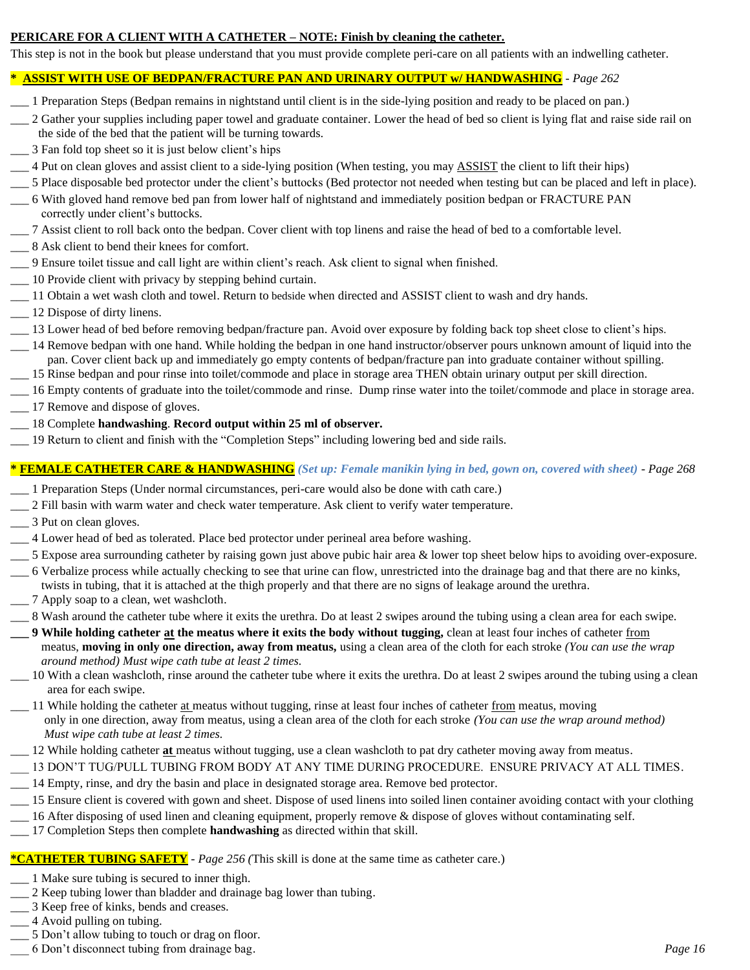#### **PERICARE FOR A CLIENT WITH A CATHETER – NOTE: Finish by cleaning the catheter.**

This step is not in the book but please understand that you must provide complete peri-care on all patients with an indwelling catheter.

#### **\* ASSIST WITH USE OF BEDPAN/FRACTURE PAN AND URINARY OUTPUT w/ HANDWASHING** - *Page 262*

\_\_\_ 1 Preparation Steps (Bedpan remains in nightstand until client is in the side-lying position and ready to be placed on pan.)

\_\_ 2 Gather your supplies including paper towel and graduate container. Lower the head of bed so client is lying flat and raise side rail on the side of the bed that the patient will be turning towards.

- \_\_\_ 3 Fan fold top sheet so it is just below client's hips
- \_\_\_ 4 Put on clean gloves and assist client to a side-lying position (When testing, you may ASSIST the client to lift their hips)
- \_\_\_ 5 Place disposable bed protector under the client's buttocks (Bed protector not needed when testing but can be placed and left in place).
- \_\_\_ 6 With gloved hand remove bed pan from lower half of nightstand and immediately position bedpan or FRACTURE PAN correctly under client's buttocks.
- \_\_\_ 7 Assist client to roll back onto the bedpan. Cover client with top linens and raise the head of bed to a comfortable level.
- \_\_\_ 8 Ask client to bend their knees for comfort.
- \_\_\_ 9 Ensure toilet tissue and call light are within client's reach. Ask client to signal when finished.
- \_\_\_ 10 Provide client with privacy by stepping behind curtain.
- \_\_\_ 11 Obtain a wet wash cloth and towel. Return to bedside when directed and ASSIST client to wash and dry hands.
- \_\_\_ 12 Dispose of dirty linens.
- \_\_\_ 13 Lower head of bed before removing bedpan/fracture pan. Avoid over exposure by folding back top sheet close to client's hips.
- \_\_\_ 14 Remove bedpan with one hand. While holding the bedpan in one hand instructor/observer pours unknown amount of liquid into the pan. Cover client back up and immediately go empty contents of bedpan/fracture pan into graduate container without spilling.
- \_\_\_ 15 Rinse bedpan and pour rinse into toilet/commode and place in storage area THEN obtain urinary output per skill direction.
- \_\_\_ 16 Empty contents of graduate into the toilet/commode and rinse. Dump rinse water into the toilet/commode and place in storage area.
- \_\_\_ 17 Remove and dispose of gloves.
- \_\_\_ 18 Complete **handwashing**. **Record output within 25 ml of observer.**
- \_\_\_ 19 Return to client and finish with the "Completion Steps" including lowering bed and side rails.

### **\* FEMALE CATHETER CARE & HANDWASHING** *(Set up: Female manikin lying in bed, gown on, covered with sheet)* - *Page 268*

- \_\_\_ 1 Preparation Steps (Under normal circumstances, peri-care would also be done with cath care.)
- \_\_\_ 2 Fill basin with warm water and check water temperature. Ask client to verify water temperature.
- \_\_\_ 3 Put on clean gloves.
- \_\_\_ 4 Lower head of bed as tolerated. Place bed protector under perineal area before washing.
- \_\_\_ 5 Expose area surrounding catheter by raising gown just above pubic hair area & lower top sheet below hips to avoiding over-exposure.
- \_\_\_ 6 Verbalize process while actually checking to see that urine can flow, unrestricted into the drainage bag and that there are no kinks,
- twists in tubing, that it is attached at the thigh properly and that there are no signs of leakage around the urethra.
- \_\_\_ 7 Apply soap to a clean, wet washcloth.
- \_\_\_ 8 Wash around the catheter tube where it exits the urethra. Do at least 2 swipes around the tubing using a clean area for each swipe.
- **\_\_\_ 9 While holding catheter at the meatus where it exits the body without tugging,** clean at least four inches of catheter from meatus, **moving in only one direction, away from meatus,** using a clean area of the cloth for each stroke *(You can use the wrap around method) Must wipe cath tube at least 2 times.*
- \_\_\_ 10 With a clean washcloth, rinse around the catheter tube where it exits the urethra. Do at least 2 swipes around the tubing using a clean area for each swipe.
- $\Box$  11 While holding the catheter at meatus without tugging, rinse at least four inches of catheter from meatus, moving only in one direction, away from meatus, using a clean area of the cloth for each stroke *(You can use the wrap around method) Must wipe cath tube at least 2 times.*
- \_\_\_ 12 While holding catheter **at** meatus without tugging, use a clean washcloth to pat dry catheter moving away from meatus.
- 13 DON'T TUG/PULL TUBING FROM BODY AT ANY TIME DURING PROCEDURE. ENSURE PRIVACY AT ALL TIMES.
- \_\_\_ 14 Empty, rinse, and dry the basin and place in designated storage area. Remove bed protector.
- \_\_\_ 15 Ensure client is covered with gown and sheet. Dispose of used linens into soiled linen container avoiding contact with your clothing
- \_\_\_ 16 After disposing of used linen and cleaning equipment, properly remove & dispose of gloves without contaminating self.
- \_\_\_ 17 Completion Steps then complete **handwashing** as directed within that skill.

#### **\*CATHETER TUBING SAFETY** - *Page 256 (*This skill is done at the same time as catheter care.)

- \_\_\_ 1 Make sure tubing is secured to inner thigh.
- \_\_\_ 2 Keep tubing lower than bladder and drainage bag lower than tubing.
- \_\_\_ 3 Keep free of kinks, bends and creases.
- \_\_\_ 4 Avoid pulling on tubing.
- \_\_\_ 5 Don't allow tubing to touch or drag on floor.
- \_\_\_ 6 Don't disconnect tubing from drainage bag. *Page 16*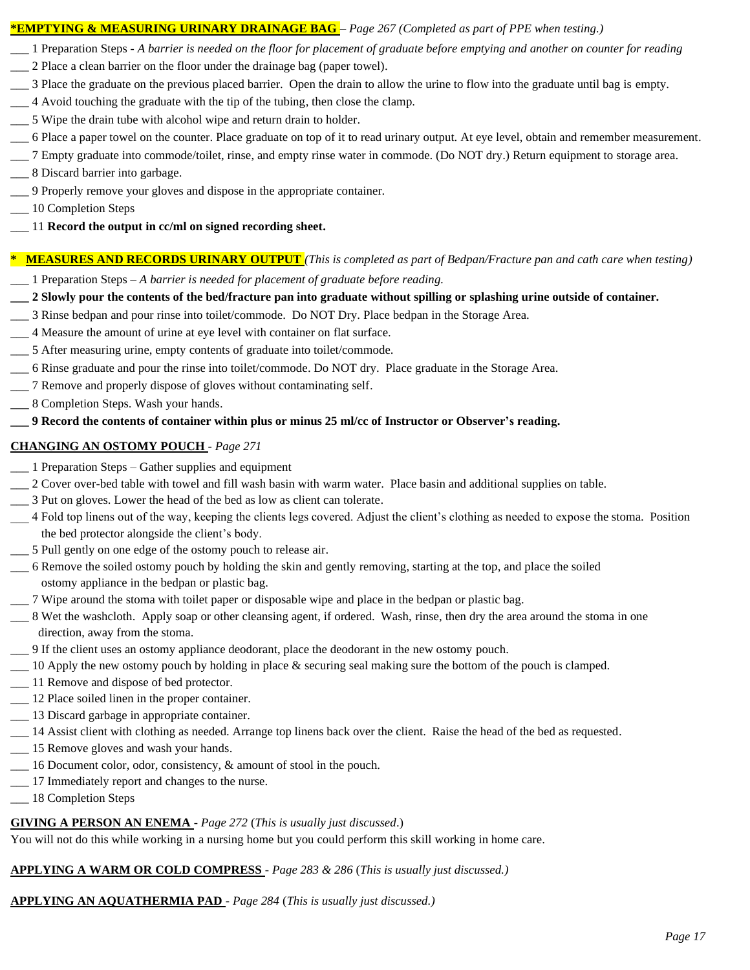#### **\*EMPTYING & MEASURING URINARY DRAINAGE BAG** – *Page 267 (Completed as part of PPE when testing.)*

- \_\_\_ 1 Preparation Steps *A barrier is needed on the floor for placement of graduate before emptying and another on counter for reading*
- \_\_\_ 2 Place a clean barrier on the floor under the drainage bag (paper towel).
- \_\_\_ 3 Place the graduate on the previous placed barrier. Open the drain to allow the urine to flow into the graduate until bag is empty.
- \_\_\_ 4 Avoid touching the graduate with the tip of the tubing, then close the clamp.
- \_\_\_ 5 Wipe the drain tube with alcohol wipe and return drain to holder.
- \_\_\_ 6 Place a paper towel on the counter. Place graduate on top of it to read urinary output. At eye level, obtain and remember measurement.
- \_\_\_ 7 Empty graduate into commode/toilet, rinse, and empty rinse water in commode. (Do NOT dry.) Return equipment to storage area.
- \_\_\_ 8 Discard barrier into garbage.
- \_\_\_ 9 Properly remove your gloves and dispose in the appropriate container.
- $\_\_$ 10 Completion Steps
- \_\_\_ 11 **Record the output in cc/ml on signed recording sheet.**

#### **\* MEASURES AND RECORDS URINARY OUTPUT** *(This is completed as part of Bedpan/Fracture pan and cath care when testing)*

- \_\_\_ 1 Preparation Steps *A barrier is needed for placement of graduate before reading.*
- **\_\_\_ 2 Slowly pour the contents of the bed/fracture pan into graduate without spilling or splashing urine outside of container.**
- \_\_\_ 3 Rinse bedpan and pour rinse into toilet/commode. Do NOT Dry. Place bedpan in the Storage Area.
- \_\_\_ 4 Measure the amount of urine at eye level with container on flat surface.
- \_\_\_ 5 After measuring urine, empty contents of graduate into toilet/commode.
- \_\_\_ 6 Rinse graduate and pour the rinse into toilet/commode. Do NOT dry. Place graduate in the Storage Area.
- \_\_\_ 7 Remove and properly dispose of gloves without contaminating self.
- **\_\_\_** 8 Completion Steps. Wash your hands.

#### **\_\_\_ 9 Record the contents of container within plus or minus 25 ml/cc of Instructor or Observer's reading.**

#### **CHANGING AN OSTOMY POUCH** - *Page 271*

- \_\_\_ 1 Preparation Steps Gather supplies and equipment
- \_\_\_ 2 Cover over-bed table with towel and fill wash basin with warm water. Place basin and additional supplies on table.
- \_\_\_ 3 Put on gloves. Lower the head of the bed as low as client can tolerate.
- \_\_\_ 4 Fold top linens out of the way, keeping the clients legs covered. Adjust the client's clothing as needed to expose the stoma. Position the bed protector alongside the client's body.
- \_\_\_ 5 Pull gently on one edge of the ostomy pouch to release air.
- \_\_\_ 6 Remove the soiled ostomy pouch by holding the skin and gently removing, starting at the top, and place the soiled ostomy appliance in the bedpan or plastic bag.
- \_\_\_ 7 Wipe around the stoma with toilet paper or disposable wipe and place in the bedpan or plastic bag.
- \_\_\_ 8 Wet the washcloth. Apply soap or other cleansing agent, if ordered. Wash, rinse, then dry the area around the stoma in one direction, away from the stoma.
- \_\_\_ 9 If the client uses an ostomy appliance deodorant, place the deodorant in the new ostomy pouch.
- \_\_\_ 10 Apply the new ostomy pouch by holding in place & securing seal making sure the bottom of the pouch is clamped.
- \_\_\_ 11 Remove and dispose of bed protector.
- \_\_\_ 12 Place soiled linen in the proper container.
- \_\_\_ 13 Discard garbage in appropriate container.
- \_\_\_ 14 Assist client with clothing as needed. Arrange top linens back over the client. Raise the head of the bed as requested.
- \_\_\_ 15 Remove gloves and wash your hands.
- \_\_\_ 16 Document color, odor, consistency, & amount of stool in the pouch.
- \_\_\_ 17 Immediately report and changes to the nurse.
- \_\_\_ 18 Completion Steps

### **GIVING A PERSON AN ENEMA** - *Page 272* (*This is usually just discussed*.)

You will not do this while working in a nursing home but you could perform this skill working in home care.

# **APPLYING A WARM OR COLD COMPRESS** - *Page 283 & 286* (*This is usually just discussed.)*

### **APPLYING AN AQUATHERMIA PAD** - *Page 284* (*This is usually just discussed.)*